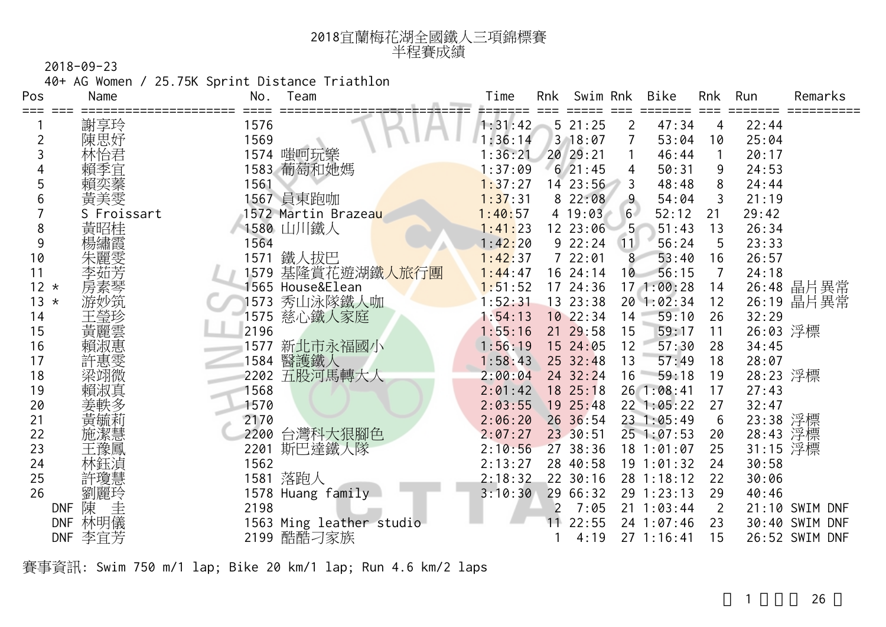| 2018宜蘭梅花湖全國鐵人三項錦標賽 |
|--------------------|
| 半程賽成績              |

40+ AG Women / 25.75K Sprint Distance Triathlon

| Pos    | Name                 | No.<br>Team                       | Bike<br>Swim Rnk<br>Run<br>Time<br>Rnk<br>Rnk<br>Remarks         |
|--------|----------------------|-----------------------------------|------------------------------------------------------------------|
| ===    | 謝享玲                  | 1576                              | 47:34<br>521:25<br>22:44<br>1:31:42<br>2<br>4                    |
| 2      | 陳思妤                  | 1569                              | 3 18:07<br>:36:14<br>53:04<br>25:04<br>10                        |
|        | 林怡君                  | 1574 嗤呵玩樂                         | 20 29:21<br>:36:21<br>46:44<br>20:17<br>1                        |
|        | 賴季宜                  | 1583 葡萄和她媽                        | 621:45<br>1:37:09<br>50:31<br>24:53<br>9<br>4                    |
| 5      | 賴奕蓁                  | 1561                              | 48:48<br>1:37:27<br>14 23:56<br>8<br>24:44<br>3                  |
| 6      | 黃美雯                  | 1567 員東跑咖                         | 8 22:08<br>54:04<br>21:19<br>1:37:31<br>9<br>3                   |
|        | S Froissart          | 1572 Martin Brazea <mark>u</mark> | 1:40:57<br>4 19:03<br>52:12<br>29:42<br>6 <sub>1</sub><br>21     |
| 8      | 黃昭桂                  | 1580 山川鐵人                         | 12 23:06<br>1:41:23<br>$5^{\circ}$<br>51:43<br>26:34<br>13       |
| 9      |                      | 1564                              | $9\ 22:24$<br>1:42:20<br>56:24<br>23:33<br>5<br>(11)             |
| 10     |                      | 1571<br>鐵人拔巴                      | 722:01<br>1:42:37<br>26:57<br>8<br>53:40<br>16                   |
| 11     |                      | 基隆賞花遊湖鐵人旅行團<br>1579               | 56:15<br>24:18<br>1:44:47<br>16 24:14<br>10<br>7                 |
| $12 *$ |                      | 565 House&Elean                   | 17 24:36<br>17 1:00:28<br>26:48 晶片異常<br>1:51:52<br>14            |
| $13 *$ | 游妙筑                  | 秀山泳隊鐵人咖<br>1573                   | 26:19 晶片異常<br>20 1:02:34<br>1:52:31<br>13 23:38<br>12            |
| 14     | 王瑩珍                  | 慈心鐵人家庭<br>1575                    | 10 22:34<br>59:10<br>1:54:13<br>26<br>32:29<br>14                |
| 15     | 黃麗雲                  | 2196                              | 26:03 浮標<br>1:55:16<br>21 29:58<br>15<br>59:17<br>11             |
| 16     |                      | 新北市永福國小<br>1577                   | 1:56:19<br>15 24:05<br>12<br>57:30<br>34:45<br>28                |
| 17     | 許惠雯                  | 醫護鐵人<br>1584                      | 1:58:43<br>25 32:48<br>18<br>13<br>57:49<br>28:07                |
| 18     | 梁翊微                  | 五股河馬轉大人<br>2202                   | 24 32:24<br>28:23 浮標<br>2:00:04<br>16<br>59:18<br>19             |
| 19     |                      | 1568                              | 18 25:18<br>26 1:08:41<br>27:43<br>2:01:42<br>17                 |
| 20     |                      | 1570                              | 2:03:55<br>19 25:48<br>22 1:05:22<br>27<br>32:47                 |
| 21     | 更跏利                  | 2170                              | 23:38 浮標<br>26 36:54<br>23 1:05:49<br>$6\phantom{1}6$<br>2:06:20 |
| 22     | 施潔慧                  | 台灣科大狠腳色<br>2200                   | 28:43 浮標<br>23 30:51<br>2:07:27<br>25 1:07:53<br>20              |
| 23     | 王豫鳳                  | 2201<br>斯巴達鐵人隊                    | 31:15 浮標<br>27 38:36<br>2:10:56<br>25<br>$18$ $1:01:07$          |
| 24     |                      | 1562                              | 2:13:27<br>28 40:58<br>19 1:01:32<br>30:58<br>24                 |
| 25     | 許瓊慧                  | 1581 落跑人                          | 2:18:32<br>22 30:16<br>28 1:18:12<br>22<br>30:06                 |
| 26     | 劉麗玲                  | 1578 Huang family                 | 29 66:32<br>29 1:23:13<br>29<br>3:10:30<br>40:46                 |
|        | 圭<br>陳<br><b>DNF</b> | 2198                              | 21 1:03:44<br>7:05<br>$\overline{2}$<br>21:10 SWIM DNF           |
|        | 林明儀<br><b>DNF</b>    | 1563 Ming leather studio          | 22:55<br>24 1:07:46<br>30:40<br>SWIM DNF<br>23                   |
|        | 李宜芳<br><b>DNF</b>    | 2199 酷酷刁家族                        | 26:52 SWIM DNF<br>271:16:41<br>4:19<br>15                        |

賽事資訊: Swim 750 m/1 lap; Bike 20 km/1 lap; Run 4.6 km/2 laps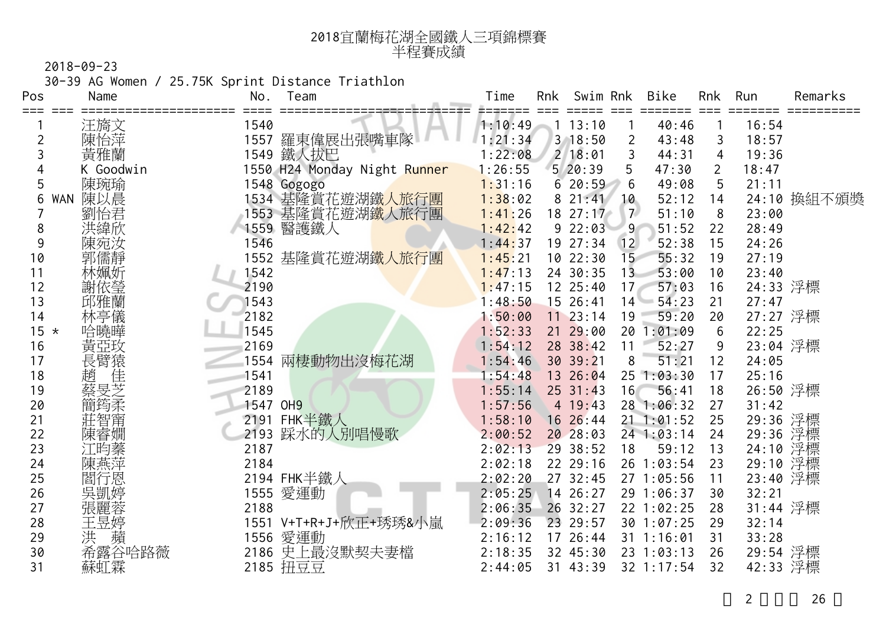| 2018宜蘭梅花湖全國鐵人三項錦標賽 |
|--------------------|
| 半程賽成績              |

30-39 AG Women / 25.75K Sprint Distance Triathlon

| Pos    | Name       | No.      | Team                           | Time    | Rnk | Swim Rnk    |                | Bike         | <b>Rnk</b>      | Run      | Remarks     |
|--------|------------|----------|--------------------------------|---------|-----|-------------|----------------|--------------|-----------------|----------|-------------|
|        | 汪旖文        | 1540     |                                | 1:10:49 |     | 13:10       |                | 40:46        |                 | 16:54    |             |
|        | 陳怡萍        |          | 1557 羅東偉展出張嘴車隊                 | 1:21:34 |     | 3 18:50     | $\overline{2}$ | 43:48        | 3               | 18:57    |             |
| 3      | 黃雅蘭        | 1549     | 鐵人拔巴                           | 1:22:08 |     | $2 \ 18:01$ | 3              | 44:31        | $\overline{4}$  | 19:36    |             |
|        | K Goodwin  |          | 1550 H24 Monday Night Runner   | 1:26:55 |     | 5/20:39     | 5              | 47:30        | $\overline{2}$  | 18:47    |             |
| 5      | 陳琬瑜        |          | 1548 Gogogo                    | 1:31:16 |     | 620:59      | 6              | 49:08        | 5               | 21:11    |             |
| 6      | 陳以晨<br>WAN |          | 1534 基隆賞花遊湖鐵人旅行團               | 1:38:02 |     | 821:41      | 10             | 52:12        | 14              |          | 24:10 換組不頒獎 |
|        | 劉怡君        |          | 1553 基隆賞花遊湖 <mark>鐵人旅行團</mark> | 1:41:26 |     | 18 27:17    | 7 <sup>2</sup> | 51:10        | 8               | 23:00    |             |
| 8      | 洪緯欣        |          | 1559 醫護鐵人                      | 1:42:42 |     | 922:03      | 9              | 51:52        | 22              | 28:49    |             |
| 9      | 陳宛汝        | 1546     |                                | 1:44:37 |     | 19 27:34    | 12             | 52:38        | 15              | 24:26    |             |
| 10     | 郭儒靜        |          | 1552 基隆賞花遊湖鐵人旅行團               | 1:45:21 |     | 1022:30     | 15             | 55:32        | 19              | 27:19    |             |
| 11     | 林姵妡        | 1542     |                                | 1:47:13 |     | 24 30:35    | 13             | 53:00        | 10              | 23:40    |             |
| 12     | 謝依瑩        | 2190     |                                | 1:47:15 |     | 12 25:40    | 17             | 57:03        | 16              | 24:33 浮標 |             |
| 13     | 邱雅蘭        | 1543     |                                | 1:48:50 |     | 15 26:41    | 14             | 54:23        | 21              | 27:47    |             |
| 14     | 林亭儀        | 2182     |                                | 1:50:00 |     | $11$ 23:14  | 19             | 59:20        | 20              | 27:27 浮標 |             |
| $15 *$ | 哈曉曄        | 1545     |                                | 1:52:33 |     | 21 29:00    | 20             | 1:01:09      | $6\phantom{1}6$ | 22:25    |             |
| 16     | 黃亞玫        | 2169     |                                | 1:54:12 |     | 28 38:42    | 11             | 52:27        | 9               | 23:04 浮標 |             |
| 17     | 長臂猿        | 1554     | 兩棲動物出沒梅花湖                      | 1:54:46 |     | 30 39:21    | 8              | 51:21        | 12              | 24:05    |             |
| 18     | 佳<br>趙     | 1541     |                                | 1:54:48 |     | 13 26:04    |                | 25 1:03:30   | 17              | 25:16    |             |
| 19     | 蔡旻芝        | 2189     |                                | 1:55:14 |     | $25$ 31:43  | 16             | 56:41        | 18              | 26:50 浮標 |             |
| 20     | 簡筠柔        | 1547 OH9 |                                | 1:57:56 |     | 4 19:43     |                | 28 1:06:32   | 27              | 31:42    |             |
| 21     | 莊智甯        |          | 2191 FHK半鐵人                    | 1:58:10 |     | 16 26:44    | 21             | 1:01:52      | 25              | 29:36 浮標 |             |
| 22     | 陳睿嫺        |          | 2193 踩水的人別唱慢歌                  | 2:00:52 |     | 20 28:03    |                | $24$ 1:03:14 | 24              | 29:36    | 浮標          |
| 23     | 江昀蓁        | 2187     |                                | 2:02:13 |     | 29 38:52    | 18             | 59:12        | 13              | 24:10    | 浮標          |
| 24     | 陳燕萍        | 2184     |                                | 2:02:18 |     | 22 29:16    |                | 26 1:03:54   | 23              | 29:10    | 浮標          |
| 25     | 閻行恩        |          | 2194 FHK半鐵人                    | 2:02:20 |     | 27 32:45    |                | 27 1:05:56   | 11              | 23:40 浮標 |             |
| 26     | 吳凱婷        | 1555     | 愛運動                            | 2:05:25 |     | 14 26:27    |                | 29 1:06:37   | 30              | 32:21    |             |
| 27     | 張麗蓉        | 2188     |                                | 2:06:35 |     | 26 32:27    |                | 22 1:02:25   | 28              | 31:44 浮標 |             |
| 28     | 王昱婷        | 1551     | V+T+R+J+欣正+琇琇&小嵐               | 2:09:36 |     | 23 29:57    |                | 30 1:07:25   | 29              | 32:14    |             |
| 29     | 蘋<br>洪     | 1556     | 愛運動                            | 2:16:12 |     | 17 26:44    |                | 31 1:16:01   | 31              | 33:28    |             |
| 30     | 希露谷哈路薇     | 2186     | 史上最沒默契夫妻檔                      | 2:18:35 |     | 32 45:30    |                | 23 1:03:13   | 26              | 29:54 浮標 |             |
| 31     | 蘇虹霖        |          | 2185 扭豆豆                       | 2:44:05 |     | 31 43:39    |                | 32 1:17:54   | 32              | 42:33 浮標 |             |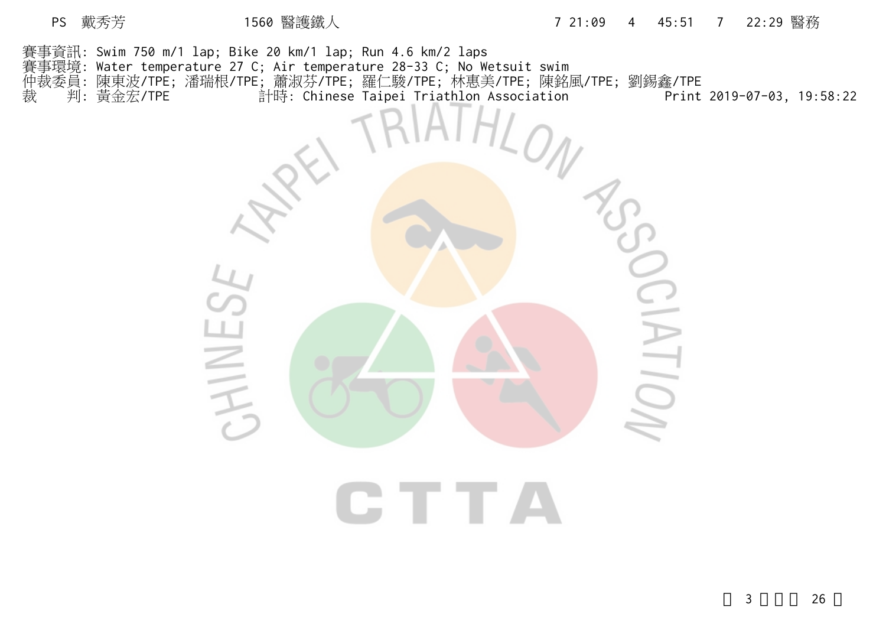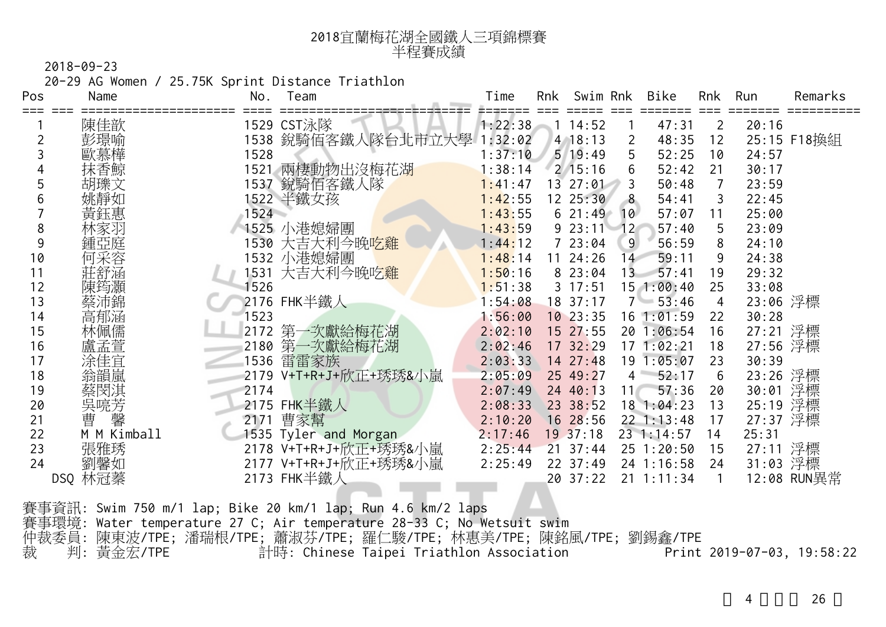| 2018宜蘭梅花湖全國鐵人三項錦標賽 |
|--------------------|
| 半程賽成績              |

20-29 AG Women / 25.75K Sprint Distance Triathlon

| Pos | Name        | No.  | Team                        | Time    | Rnk | Swim Rnk      |                 | Bike           | Rnk            | Run      | Remarks     |
|-----|-------------|------|-----------------------------|---------|-----|---------------|-----------------|----------------|----------------|----------|-------------|
|     | 陳佳歆         |      | 1529 CST泳隊                  | 1:22:38 |     | 14:52         |                 | 47:31          | 2              | 20:16    |             |
|     | 彭璟喻         |      | 1538 銳騎佰客鐵人隊台北市立大學          | 1:32:02 |     | $4$ 18:13     | 2               | 48:35          | 12             |          | 25:15 F18換組 |
|     |             | 1528 |                             | 1:37:10 |     | $5 \t19:49$   | 5               | 52:25          | 10             | 24:57    |             |
|     | 抹香鯨         |      | 1521 兩棲動物出沒梅花湖              | 1:38:14 |     | $2 \; 15:16$  | 6               | 52:42          | 21             | 30:17    |             |
|     | 胡瓅文         |      | 1537 銳騎佰客鐵人隊                | 1:41:47 |     | $13 \t27:01$  |                 | 50:48          | $\overline{7}$ | 23:59    |             |
|     | 姚靜如         |      | 1522 半鐵女孩                   | 1:42:55 |     | $12 \t25:30$  | 8               | 54:41          | 3              | 22:45    |             |
|     | 黃鈺惠         | 1524 |                             | 1:43:55 |     | 621:49        | 10              | 57:07          | 11             | 25:00    |             |
| 8   | 林家羽         |      | 1525 小港媳婦團                  | 1:43:59 |     | 923:11        | 12 <sup>°</sup> | 57:40          | 5              | 23:09    |             |
| 9   | 鍾亞庭         |      | 1530 大吉大利今晚吃雞               | 1:44:12 |     | 723:04        | 9               | 56:59          | 8              | 24:10    |             |
| 10  | 何采容         |      | 1532 小港媳婦團                  | 1:48:14 |     | $11 \t24:26$  | 14              | 59:11          | 9              | 24:38    |             |
| 11  | 莊舒涵         |      | 1531 大吉大利今晚吃 <mark>雞</mark> | 1:50:16 |     | 8 23:04       | 13 <sup>°</sup> | 57:41          | 19             | 29:32    |             |
| 12  | 陳筠灝         | 1526 |                             | 1:51:38 |     | $3 \t17:51$   |                 | 151:00:40      | 25             | 33:08    |             |
| 13  | 蔡沛錦         |      | 2176 FHK半鐵人                 | 1:54:08 |     | $18$ 37:17    |                 | $7 - 53:46$    | $\overline{4}$ | 23:06 浮標 |             |
| 14  | 高郁涵         | 1523 |                             | 1:56:00 |     | 1023:35       |                 | $16$ 1:01:59   | 22             | 30:28    |             |
| 15  | 林佩儒         |      | 2172 第一次獻給梅花湖               | 2:02:10 |     | 1527:55       |                 | 20 1:06:54     | 16             | 27:21 浮標 |             |
| 16  | 盧孟萱         |      | 2180 第一次獻給梅花湖               | 2:02:46 |     | 17 32:29      |                 | 171:02:21      | 18             | 27:56 浮標 |             |
| 17  | 涂佳宜         |      | 1536 雷雷家族                   | 2:03:33 |     | 1427:48       |                 | 19 1:05:07     | 23             | 30:39    |             |
| 18  | 翁韻嵐         |      | 2179 V+T+R+J+欣正+琇琇&小嵐       | 2:05:09 |     | 25 49:27      | $4 -$           | 52:17          | 6              | 23:26 浮標 |             |
| 19  | 蔡閔淇         | 2174 |                             | 2:07:49 |     | $24 \, 40:13$ | 11 <sup>7</sup> | 57:36          | 20             | 30:01 浮標 |             |
| 20  | 吳喨芳         |      | 2175 FHK半鐵人                 | 2:08:33 |     | 23 38:52      |                 | 18 1:04:23     | 13             | 25:19 浮標 |             |
| 21  | 馨<br>曹      | 2171 | 曹家幫                         | 2:10:20 |     | 16 28:56      |                 | 22 1:13:48     | 17             | 27:37 浮標 |             |
| 22  | M M Kimball |      | 1535 Tyler and Morgan       | 2:17:46 |     | $19 \t37:18$  |                 | 231:14:57      | 14             | 25:31    |             |
| 23  | 張雅琇         |      | 2178 V+T+R+J+欣正+琇琇&小嵐       | 2:25:44 |     | $21 \t37:44$  |                 | $25$ 1:20:50   | 15             | 27:11 浮標 |             |
| 24  | 劉馨如         |      | 2177 V+T+R+J+欣正+琇琇&小嵐       | 2:25:49 |     | 22 37:49      |                 | 24 1:16:58     | 24             | 31:03 浮標 |             |
|     | DSQ 林冠蓁     |      | 2173 FHK半鐵人                 |         |     | 20 37:22      |                 | $21 \t1:11:34$ |                |          | 12:08 RUN異常 |

賽事資訊: Swim 750 m/1 lap; Bike 20 km/1 lap; Run 4.6 km/2 laps 賽事環境: Water temperature 27 C; Air temperature 28-33 C; No Wetsuit swim 仲裁委員: 陳東波/TPE; 潘瑞根/TPE; 蕭淑芬/TPE; 羅仁駿/TPE; 林惠美/TPE; 陳銘風/TPE; 劉錫鑫/TPE 裁 判: 黃金宏/TPE 計時: Chinese Taipei Triathlon Association Print 2019-07-03, 19:58:22

4 26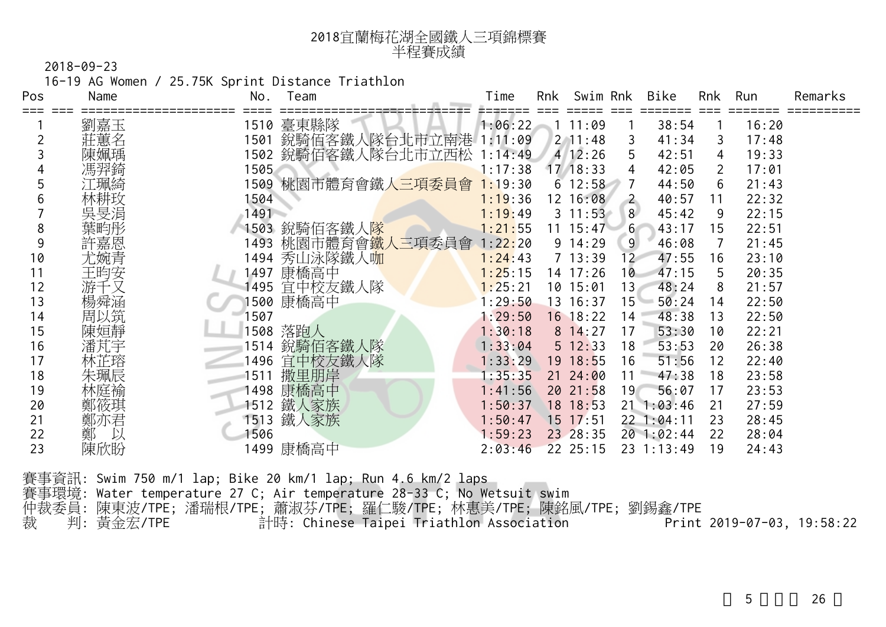| 2018宜蘭梅花湖全國鐵人三項錦標賽 |
|--------------------|
| 半程賽成績              |

16-19 AG Women / 25.75K Sprint Distance Triathlon

| Pos | Name   | No.  | Team                   | Time    | Rnk | Swim Rnk     |                | Bike           | Rnk                   | Run   | Remarks |
|-----|--------|------|------------------------|---------|-----|--------------|----------------|----------------|-----------------------|-------|---------|
|     | 劉嘉玉    | 1510 | 臺東縣隊                   | 1:06:22 |     | 11:09        |                | 38:54          |                       | 16:20 |         |
|     | 莊蕙名    | 1501 | 銳騎佰客鐵人隊台北市立南港 1:11:09  |         |     | $2 \t11:48$  | 3              | 41:34          | 3                     | 17:48 |         |
|     | 陳姵瑀    |      | 1502 銳騎佰客鐵人隊台北市立西松     | 1:14:49 |     | 4 12:26      | 5              | 42:51          | 4                     | 19:33 |         |
|     | 馮羿錡    | 1505 |                        | 1:17:38 |     | 17/18:33     | 4              | 42:05          | $\mathbf{2}^{\prime}$ | 17:01 |         |
|     | 工珮綺    | 1509 | _桃園市體育會鐵 <u>人三項委員會</u> | 1:19:30 |     | $6\;12:58$   |                | 44:50          | 6                     | 21:43 |         |
|     |        | 1504 |                        | 1:19:36 |     | 12 16:08     | $\overline{2}$ | 40:57          | 11                    | 22:32 |         |
|     | 吳旻涓    | 1491 |                        | 1:19:49 |     | $3\;11:53$   | 8              | 45:42          | 9                     | 22:15 |         |
| 8   | 葉畇彤    | 1503 | 銳騎佰客鐵人 <mark>隊</mark>  | 1:21:55 |     | $11 \t15:47$ | 6 <sup>1</sup> | 43:17          | 15                    | 22:51 |         |
| 9   | 許嘉恩    | 1493 | 桃園市體育會鐵人三項委員會          | 1:22:20 |     | $9 \t14:29$  | 9              | 46:08          |                       | 21:45 |         |
| 10  | 尤婉青    | 1494 | 秀山泳隊鐵人咖                | 1:24:43 |     | $7 \t13:39$  | $12 -$         | 47:55          | 16                    | 23:10 |         |
| 11  | 王昀安    | 1497 | 康橋高中                   | 1:25:15 |     | 14 17:26     | 10             | 47:15          | 5                     | 20:35 |         |
| 12  | 游千又    | 1495 | 宜中校友鐵人隊                | 1:25:21 |     | 10 15:01     | $13+$          | 48:24          | 8                     | 21:57 |         |
| 13  | 楊舜涵    |      | 1500 康橋高中              | : 29:50 |     | 13 16:37     | $15 -$         | 50:24          | 14                    | 22:50 |         |
| 14  | 周以筑    | 1507 |                        | 1:29:50 |     | 16 18:22     | 14             | 48:38          | 13                    | 22:50 |         |
| 15  | 陳姮靜    | 1508 | 落跑人                    | 1:30:18 |     | 8 14:27      | 17             | 53:30          | 10                    | 22:21 |         |
| 16  | 潘芃宇    | 1514 | 銳騎佰客鐵人隊                | 1:33:04 |     | 5 12:33      | 18             | 53:53          | 20                    | 26:38 |         |
| 17  | 林芷瑢    | 1496 | 宜中校友鐵人隊                | 1:33:29 |     | 19 18:55     | 16             | 51:56          | 12                    | 22:40 |         |
| 18  | 朱珮辰    | 1511 | 撒里朋岸                   | :35:35  |     | $21 \t24:00$ | 11             | 47:38          | 18                    | 23:58 |         |
| 19  | 林庭褕    |      | 1498 康橋高中              | 1:41:56 |     | 2021:58      | 19             | 56:07          | 17                    | 23:53 |         |
| 20  | 鄭筱琪    | 1512 | 鐵人家族                   | 1:50:37 |     | 18 18:53     |                | $21 \t1:03:46$ | 21                    | 27:59 |         |
| 21  | 鄭亦君    | 1513 | 鐵人家族                   | 1:50:47 |     | $15$ 17:51   |                | 22 1:04:11     | 23                    | 28:45 |         |
| 22  | 鄭<br>以 | 1506 |                        | 1:59:23 |     | 23 28:35     |                | 20 1:02:44     | 22                    | 28:04 |         |
| 23  | 陳欣盼    |      | 1499 康橋高中              | 2:03:46 |     | $22$ $25:15$ |                | 23 1:13:49     | 19                    | 24:43 |         |

賽事資訊: Swim 750 m/1 lap; Bike 20 km/1 lap; Run 4.6 km/2 laps 賽事環境: Water temperature 27 C; Air temperature 28-33 C; No Wetsuit swim 仲裁委員: 陳東波/TPE; 潘瑞根/TPE; 蕭淑芬/TPE; 羅仁駿/TPE; 林惠美/TPE; 陳銘風/TPE; 劉錫鑫/TPE 裁 判: 黃金宏/TPE 計時: Chinese Taipei Triathlon Association Print 2019-07-03, 19:58:22

26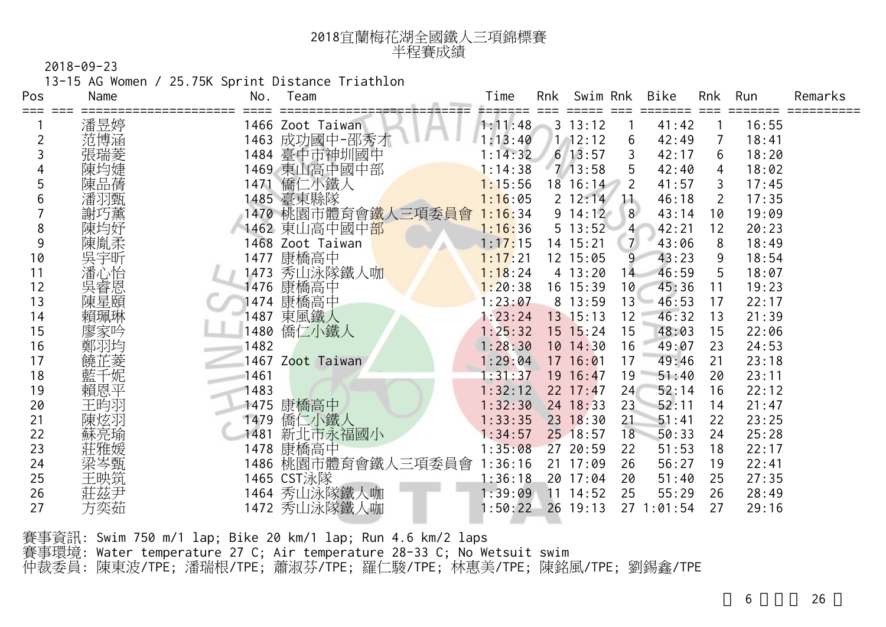| 2018宜蘭梅花湖全國鐵人三項錦標賽 |
|--------------------|
| 半程賽成績              |

13-15 AG Women / 25.75K Sprint Distance Triathlon

| Pos | Name | Team<br>No.                      | Time    | Rnk | Swim Rnk             |                | Bike    | <b>Rnk</b> | Run   | Remarks |
|-----|------|----------------------------------|---------|-----|----------------------|----------------|---------|------------|-------|---------|
| === | 潘昱婷  | 1466 Zoot Taiwan                 | 1:11:48 |     | =====<br>$3 \t13:12$ | ===            | 41:42   |            | 16:55 |         |
|     | 范博涵  | 成功國中-邵秀才<br>1463                 | 1:13:40 |     | 1, 12:12             | 6              | 42:49   | 7          | 18:41 |         |
|     | 張瑞菱  | 1484 臺中市神圳國中                     | 1:14:32 |     | $6 \overline{13:57}$ |                | 42:17   | 6          | 18:20 |         |
|     |      | 1469 東山高中國中部                     | 1:14:38 |     | 7/13:58              | 5              | 42:40   | 4          | 18:02 |         |
|     | 陳品蒨  | 僑仁小鐵人<br>1471                    | 1:15:56 |     | 18 16:14             | 2              | 41:57   | 3          | 17:45 |         |
| h   | 潘羽甄  | 1485 臺東縣隊                        | 1:16:05 |     | $2 \t12:14$          | 11             | 46:18   | 2          | 17:35 |         |
|     | 謝巧薰  | 1470 桃園市體育會 <mark>鐵人三項委員會</mark> | 1:16:34 |     | $9\;14:12$           | 8              | 43:14   | 10         | 19:09 |         |
| 8   | 陳均妤  | 1462 東山高中國中 <mark>部</mark>       | 1:16:36 |     | 5 13:52              | 4 <sup>1</sup> | 42:21   | 12         | 20:23 |         |
| 9   | 陳胤柔  | 1468 Zoot Taiwan                 | 1:17:15 |     | 14 15:21             | $\overline{7}$ | 43:06   | 8          | 18:49 |         |
| 10  | 吳宇昕  | 康橋高中<br>1477                     | 1:17:21 |     | 12 15:05             | 9              | 43:23   | 9          | 18:54 |         |
| 11  | 潘心怡  | 秀山泳隊鐵人咖<br>1473                  | 1:18:24 |     | 4 13:20              | 14             | 46:59   | 5          | 18:07 |         |
| 12  | 吳睿恩  | 康橋高中<br>1476                     | 1:20:38 |     | 16 15:39             | 10             | 45:36   | 11         | 19:23 |         |
| 13  | 陳星頤  | 康橋高中<br>1474                     | 1:23:07 |     | 8 13:59              | $13 -$         | 46:53   | 17         | 22:17 |         |
| 14  | 賴珮琳  | 1487 東風鐵人                        | 1:23:24 |     | 13 15:13             | 12             | 46:32   | 13         | 21:39 |         |
| 15  | 廖家吟  | 僑仁小鐵人<br>1480                    | 1:25:32 |     | 15 15:24             | 15             | 48:03   | 15         | 22:06 |         |
| 16  | 鄭羽圪  | 1482                             | 1:28:30 |     | $10$ $14:30$         | 16             | 49:07   | 23         | 24:53 |         |
| 17  | 饒芷菱  | 1467 Zoot Taiwan                 | 1:29:04 |     | 17 16:01             | 17             | 49:46   | 21         | 23:18 |         |
| 18  | 藍千妮  | 1461                             | :31:37  |     | 19 16:47             | 19             | 51:40   | 20         | 23:11 |         |
| 19  | 賴恩平  | 1483                             | 1:32:12 |     | $22$ 17:47           | 24             | 52:14   | 16         | 22:12 |         |
| 20  | 王昀羽  | 康橋高中<br>1475                     | 1:32:30 |     | 24 18:33             | 23             | 52:11   | 14         | 21:47 |         |
| 21  | 陳炫羽  | 僑仁小鐵人<br>1479                    | 1:33:35 |     | $23 \t18:30$         | 21             | 51:41   | 22         | 23:25 |         |
| 22  | 蘇亮瑜  | 新北市永福國小<br>1481                  | : 34:57 |     | 25 18:57             | 18             | 50:33   | 24         | 25:28 |         |
| 23  | 莊雅媛  | 康橋高中<br>1478                     | 1:35:08 |     | 27 20:59             | 22             | 51:53   | 18         | 22:17 |         |
| 24  | 梁岑甄  | 1486 桃園市體育會鐵人三項委員會               | 1:36:16 |     | 21 17:09             | 26             | 56:27   | 19         | 22:41 |         |
| 25  | 王映筑  | 1465 CST泳隊                       | 1:36:18 |     | 20 17:04             | 20             | 51:40   | 25         | 27:35 |         |
| 26  | 莊茲尹  | 1464 秀山泳隊鐵人咖                     | :39:09  | 11  | 14:52                | 25             | 55:29   | 26         | 28:49 |         |
| 27  | 方奕茹  | 1472 秀山泳隊鐵人咖                     | 1:50:22 |     | $26$ 19:13           | 27             | 1:01:54 | 27         | 29:16 |         |

賽事資訊: Swim 750 m/1 lap; Bike 20 km/1 lap; Run 4.6 km/2 laps 賽事環境: Water temperature 27 C; Air temperature 28-33 C; No Wetsuit swim 仲裁委員: 陳東波/TPE; 潘瑞根/TPE; 蕭淑芬/TPE; 羅仁駿/TPE; 林惠美/TPE; 陳銘風/TPE; 劉錫鑫/TPE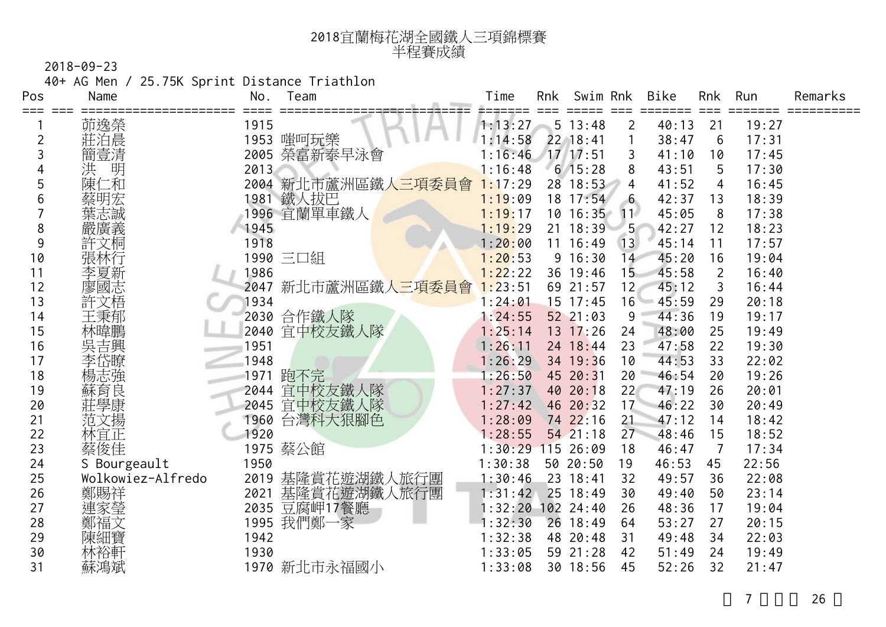| 2018宜蘭梅花湖全國鐵人三項錦標賽 |
|--------------------|
| 半程賽成績              |

40+ AG Men / 25.75K Sprint Distance Triathlon

| Pos     | Name              | No.  | Team                   | Time    | Rnk | Swim Rnk     |                | Bike  | <b>Rnk</b>     | Run   | Remarks |
|---------|-------------------|------|------------------------|---------|-----|--------------|----------------|-------|----------------|-------|---------|
| === === | 茆逸榮               | 1915 |                        | 1:13:27 |     | 5 13:48      | $\overline{2}$ | 40:13 | 21             | 19:27 |         |
| 2       | 莊泊晨               |      | 1953 嗤呵玩樂              | 1:14:58 |     | 22 18:41     |                | 38:47 | 6              | 17:31 |         |
| 3       | 簡壹清               | 2005 | 榮富新泰早泳會                | 1:16:46 |     | 17/17:51     | 3              | 41:10 | 10             | 17:45 |         |
| 4       | 明<br>洪            | 2013 |                        | 1:16:48 |     | $6$ 15:28    | 8              | 43:51 | 5              | 17:30 |         |
| 5       | 陳仁和               | 2004 | ,新北市蘆洲區鐵 <u>人三項委員會</u> | 1:17:29 |     | 28 18:53     | 4              | 41:52 | 4              | 16:45 |         |
| 6       | 蔡明宏               |      | 1981 鐵人拔巴              | 1:19:09 |     | 18 17:54     | 6              | 42:37 | 13             | 18:39 |         |
|         | 葉志誠               |      | 1996 宜蘭單車鐵人            | 1:19:17 |     | $10 \t16:35$ | 11             | 45:05 | 8              | 17:38 |         |
| 8       | 嚴廣義               | 1945 |                        | 1:19:29 |     | 21 18:39     | 5 <sup>1</sup> | 42:27 | 12             | 18:23 |         |
| 9       | 許文桐               | 1918 |                        | 1:20:00 | 11  | 16:49        | 13             | 45:14 | 11             | 17:57 |         |
| 10      | 張林行               |      | 1990 三口組               | 1:20:53 |     | 9 16:30      | 14             | 45:20 | 16             | 19:04 |         |
| 11      | 李夏新               | 1986 |                        | 1:22:22 | 36  | 19:46        | 15             | 45:58 | $\overline{2}$ | 16:40 |         |
| 12      | 國志                | 2047 | 新北市蘆洲區鐵人三項委員會          | 1:23:51 |     | 69 21:57     | 12             | 45:12 | 3              | 16:44 |         |
| 13      | 許文梧               | 1934 |                        | 1:24:01 | 15  | 17:45        | 16             | 45:59 | 29             | 20:18 |         |
| 14      | 王秉郁               | 2030 | 合作鐵人隊                  | 1:24:55 |     | 52 21:03     | 9              | 44:36 | 19             | 19:17 |         |
| 15      | 林暐鵬               |      | 2040 宜中校友鐵人隊           | 1:25:14 |     | 13 17:26     | 24             | 48:00 | 25             | 19:49 |         |
| 16      | 吳吉興               | 1951 |                        | 1:26:11 |     | 24 18:44     | 23             | 47:58 | 22             | 19:30 |         |
| 17      | 李岱瞭               | 1948 |                        | 1:26:29 |     | 34 19:36     | 10             | 44:53 | 33             | 22:02 |         |
| 18      | 楊志強               | 1971 | 跑不完                    | : 26:50 |     | 45 20:31     | 20             | 46:54 | 20             | 19:26 |         |
| 19      | 蘇育良               | 2044 | 宜中校友鐵人隊                | : 27:37 |     | 40 20:18     | 22             | 47:19 | 26             | 20:01 |         |
| 20      |                   | 2045 | 宜中校友鐵人隊                | 1:27:42 |     | 46 20:32     | 17             | 46:22 | 30             | 20:49 |         |
| 21      | 范文揚               | 1960 | 台灣科大狠腳色                | 1:28:09 |     | 74 22:16     | 21             | 47:12 | 14             | 18:42 |         |
| 22      | 林宜正               | 1920 |                        | 1:28:55 |     | 5421:18      | 27             | 48:46 | 15             | 18:52 |         |
| 23      | 蔡俊佳               |      | 1975 蔡公館               | 1:30:29 |     | 115 26:09    | 18             | 46:47 | 7              | 17:34 |         |
| 24      | S Bourgeault      | 1950 |                        | 1:30:38 |     | 50 20:50     | 19             | 46:53 | 45             | 22:56 |         |
| 25      | Wolkowiez-Alfredo | 2019 | 基隆賞花遊湖鐵人旅行團            | 1:30:46 |     | 23 18:41     | 32             | 49:57 | 36             | 22:08 |         |
| 26      | 鄭賜祥               | 2021 | 基隆賞花遊湖鐵人旅行團            | 1:31:42 |     | 25 18:49     | 30             | 49:40 | 50             | 23:14 |         |
| 27      | 連家瑩               | 2035 | 豆腐岬17餐廳                | 1:32:20 |     | 102 24:40    | 26             | 48:36 | 17             | 19:04 |         |
| 28      | 鄭福文               | 1995 | 我們鄭一家                  | :32:30  |     | 26 18:49     | 64             | 53:27 | 27             | 20:15 |         |
| 29      | 陳細寶               | 1942 |                        | 1:32:38 |     | 48 20:48     | 31             | 49:48 | 34             | 22:03 |         |
| 30      | 林裕軒               | 1930 |                        | 1:33:05 |     | 59 21:28     | 42             | 51:49 | 24             | 19:49 |         |
| 31      | 蘇鴻斌               |      | 1970 新北市永福國小           | 1:33:08 |     | 30 18:56     | 45             | 52:26 | 32             | 21:47 |         |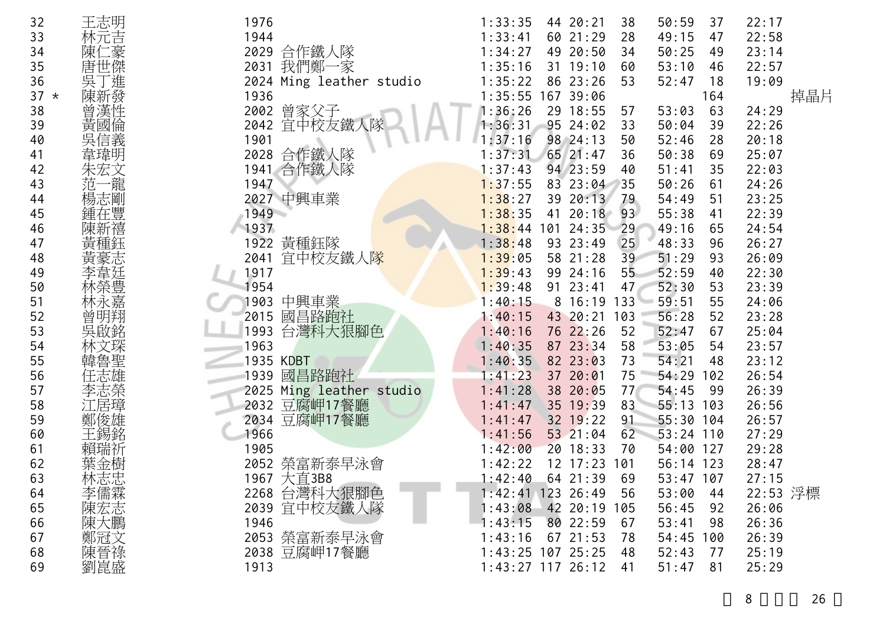| 32     | 王志明        | 1976                     | 22:17<br>44 20:21<br>50:59<br>1:33:35<br>38<br>37    |
|--------|------------|--------------------------|------------------------------------------------------|
| 33     | 林元吉        | 1944                     | 60 21:29<br>28<br>49:15<br>22:58<br>1:33:41<br>47    |
| 34     | ニ豪<br>陳1   | 2029 合作鐵人隊               | 1:34:27<br>49 20:50<br>50:25<br>23:14<br>34<br>49    |
| 35     | 唐世傑        | 我們鄭一家<br>2031            | 31 19:10<br>53:10<br>22:57<br>1:35:16<br>60<br>46    |
| 36     |            | 2024 Ming leather studio | 86 23:26<br>1:35:22<br>53<br>52:47<br>19:09<br>18    |
| $37 *$ | 吳丁進<br>陳新發 | 1936                     | 掉晶片<br>1:35:55 167 39:06<br>164                      |
| 38     | 曾漢性        | 2002 曾家父子                | 1:36:26<br>29 18:55<br>53:03<br>63<br>24:29<br>57    |
| 39     | 黃國倫        | 2042 宜中校友鐵人隊             | 1:36:31<br>95 24:02<br>33<br>50:04<br>22:26<br>39    |
| 40     | 信義         | 1901                     | 1:37:16<br>98 24:13<br>52:46<br>20:18<br>50<br>28    |
| 41     | 韋瑋明        | 2028 合作鐵人隊               | 65 21:47<br>50:38<br>25:07<br>36<br>1:37:31<br>69    |
| 42     | 朱宏文        | 1941 合作鐵人隊               | 94 23:59<br>22:03<br>1:37:43<br>51:41<br>35<br>40    |
| 43     | 龍<br>范     | 1947                     | 1:37:55<br>83 23:04<br>35<br>50:26<br>24:26<br>61    |
| 44     | 楊志剛        | 2027 中興車業                | 39 20:13<br>54:49<br>23:25<br>1:38:27<br>51<br>79    |
| 45     |            | 1949                     | 1:38:35<br>20:18<br>55:38<br>22:39<br>41<br>93<br>41 |
| 46     |            | 1937                     | 1:38:44<br>101 24:35<br>49:16<br>24:54<br>29<br>65   |
| 47     |            | 1922 黃種鈺隊                | 93 23:49<br>48:33<br>1:38:48<br>25<br>26:27<br>96    |
| 48     |            | 2041 宜中校友鐵人隊             | 58 21:28<br>26:09<br>1:39:05<br>39<br>51:29<br>93    |
| 49     |            | 1917                     | 52:59<br>1:39:43<br>99 24:16<br>55<br>40<br>22:30    |
| 50     | 林榮豊        | 1954                     | 52:30<br>91 23:41<br>23:39<br>1:39:48<br>47<br>53    |
| 51     | k嘉         | 中興車業<br>1903             | 59:51<br>55<br>1:40:15<br>8 16:19 133<br>24:06       |
| 52     | 曾明翔        | 國昌路跑社<br>2015            | 56:28<br>43 20:21<br>52<br>23:28<br>1:40:15<br>103   |
| 53     | 吳啟銘        | 台灣科大狠腳色<br>1993          | 76 22:26<br>52:47<br>25:04<br>1:40:16<br>52<br>67    |
| 54     |            | 1963                     | 87 23:34<br>53:05<br>23:57<br>1:40:35<br>58<br>54    |
| 55     | 韓魯聖        | 1935 KDBT                | 1:40:35<br>82 23:03<br>73<br>54:21<br>23:12<br>48    |
| 56     |            | 1939 國昌路跑社               | 37 20:01<br>75<br>26:54<br>1:41:23<br>54:29<br>102   |
| 57     |            | 2025 Ming leather studio | 38 20:05<br>1:41:28<br>77<br>54:45<br>26:39<br>99    |
| 58     |            | 2032 豆腐岬17餐廳             | 35 19:39<br>83<br>55:13 103<br>1:41:47<br>26:56      |
| 59     | 鄭俊雄        | 2034 豆腐岬17餐廳             | 32 19:22<br>55:30 104<br>26:57<br>1:41:47<br>91      |
| 60     | 王錫銘        | 1966                     | 53 21:04<br>62<br>27:29<br>1:41:56<br>$53:24$ 110    |
| 61     | 賴瑞祈        | 1905                     | 20 18:33<br>54:00 127<br>29:28<br>1:42:00<br>70      |
| 62     | 葉金樹        | 2052 榮富新泰早泳會             | 12 17:23 101<br>28:47<br>1:42:22<br>56:14 123        |
| 63     | 林志忠        | 1967 大直3B8               | 1:42:40<br>53:47 107<br>27:15<br>$64$ 21:39<br>69    |
| 64     | 李儒霖        | 2268 台灣科大狠腳色             | 22:53 浮標<br>$1:42:41$ 123 26:49<br>53:00<br>56<br>44 |
| 65     | 陳宏志        | 2039 宜中校友鐵人隊             | 1:43:08 42 20:19 105<br>56:45<br>26:06<br>92         |
| 66     | 陳大鵬        | 1946                     | 80 22:59<br>1:43:15<br>53:41<br>26:36<br>67<br>98    |
| 67     | 鄭冠文        | 2053 榮富新泰早泳會             | $1:43:16$ 67 21:53<br>54:45 100<br>26:39<br>78       |
| 68     | 陳晉祿        | 2038 豆腐岬17餐廳             | 1:43:25 107 25:25<br>52:43<br>25:19<br>48<br>77      |
| 69     | 劉崑盛        | 1913                     | $1:43:27$ 117 26:12<br>51:47<br>25:29<br>81<br>41    |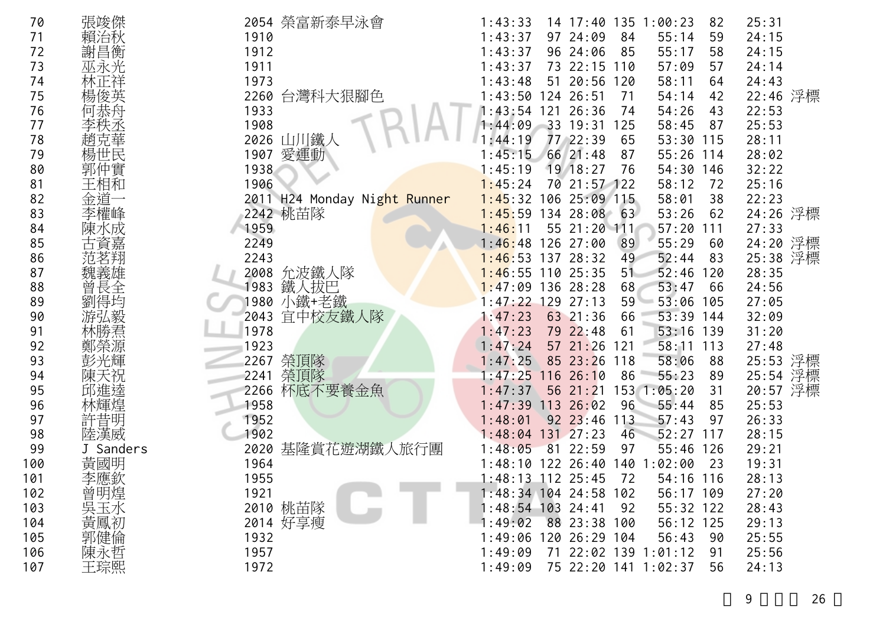| 70  | 張竣傑        | 2054 榮富新泰早泳會                 | 1:43:33<br>14 17:40 135 1:00:23<br>25:31<br>82              |  |
|-----|------------|------------------------------|-------------------------------------------------------------|--|
| 71  | 治秋         | 1910                         | 1:43:37<br>97 24:09<br>84<br>55:14<br>24:15<br>59           |  |
| 72  | 謝昌衡        | 1912                         | 96 24:06<br>1:43:37<br>85<br>55:17<br>58<br>24:15           |  |
| 73  | 巫永光        | 1911                         | 73 22:15 110<br>57:09<br>24:14<br>1:43:37<br>57             |  |
| 74  |            | 1973                         | 51 20:56 120<br>1:43:48<br>58:11<br>24:43<br>64             |  |
| 75  |            | 2260 台灣科大狠腳色                 | 22:46 浮標<br>1:43:50 124 26:51<br>54:14<br>71<br>42          |  |
| 76  |            | 1933                         | 22:53<br>1:43:54 121 26:36<br>54:26<br>74<br>43             |  |
| 77  |            | 1908                         | 1:44:09<br>33 19:31<br>25:53<br>125<br>58:45<br>87          |  |
| 78  |            | 2026 山川鐵人                    | :44:19<br>77 22:39<br>65<br>53:30 115<br>28:11              |  |
| 79  | 楊世民        | 1907 愛運動                     | 66 21:48<br>55:26 114<br>28:02<br>:45:15<br>87              |  |
| 80  | 郭仲實        | 1938                         | 19 18:27<br>32:22<br>1:45:19<br>76<br>54:30 146             |  |
| 81  | 王相和        | 1906                         | 70 21:57 122<br>1:45:24<br>25:16<br>58:12<br>72             |  |
| 82  | 金道         | 2011 H24 Monday Night Runner | $1:45:32$ 106 25:09 115<br>58:01<br>22:23<br>38             |  |
| 83  |            | 2242 桃苗隊                     | $1:45:59$ 134 28:08 63<br>24:26 浮標<br>53:26<br>62           |  |
| 84  | K成         | 1959                         | 55 21:20 111<br>$57:20$ 111<br>27:33<br>1:46:11             |  |
| 85  |            | 2249                         | 24:20 浮標<br>126 27:00<br>55:29<br>89<br>1:46:48<br>60       |  |
| 86  | 范茗翔        | 2243                         | 25:38 浮標<br>137 28:32<br>52:44<br>1:46:53<br>49<br>83       |  |
| 87  | 魏義雄        | 2008 允波鐵人隊                   | 110 25:35<br>52:46<br>1:46:55<br>51<br>120<br>28:35         |  |
| 88  | 曾<br>長全    | 鐵人拔巴<br>1983                 | 53:47<br>24:56<br>$1:47:09$ 136 28:28<br>68<br>66           |  |
| 89  |            | 1980 小鐵+老鐵                   | $129$ 27:13<br>53:06 105<br>1:47:22<br>59<br>27:05          |  |
| 90  |            | 宜中校友鐵人隊<br>2043              | 53:39 144<br>1:47:23<br>63 21:36<br>32:09<br>66             |  |
| 91  |            | 1978                         | 31:20<br>1:47:23<br>79 22:48<br>53:16 139<br>61             |  |
| 92  |            | 1923                         | 57 21:26<br>1:47:24<br>58:11 113<br>27:48<br>121            |  |
| 93  |            | 2267 榮頂隊                     | 25:53 浮標<br>1:47:25<br>85 23:26 118<br>58:06<br>88          |  |
| 94  |            | 榮頂隊<br>2241                  | 25:54 浮標<br>1:47:25<br>11626:10<br>55:23<br>86<br>-89       |  |
| 95  |            | 杯底不要養金魚<br>2266              | 56 21:21<br>20:57 浮標<br>1:47:37<br>153 1:05:20<br>31        |  |
| 96  |            | 1958                         | 113 26:02<br>55:44<br>1:47:39<br>96<br>85<br>25:53          |  |
| 97  | 許昔明        | 1952                         | $92 \t23:46$<br>57:43<br>26:33<br>1:48:01<br>113<br>97      |  |
| 98  | 陸漢威        | 1902                         | 1:48:04<br>$131 \quad 27:23$<br>52:27<br>117<br>28:15<br>46 |  |
| 99  | J Sanders  | 基隆賞花遊湖鐵人旅行團<br>2020          | 1:48:05<br>81 22:59<br>97<br>55:46<br>126<br>29:21          |  |
| 100 | 黃國明        | 1964                         | $1:48:10$ 122 26:40<br>140 1:02:00<br>23<br>19:31           |  |
| 101 | 李應欽        | 1955                         | 28:13<br>$1:48:13$ 112 25:45<br>72<br>54:16 116             |  |
| 102 | 曾明煌        | 1921                         | 1:48:34 104 24:58 102<br>56:17 109<br>27:20                 |  |
| 103 | 吳玉水<br>黃鳳初 | 2010 桃苗隊                     | 1:48:54 103 24:41<br>55:32 122<br>28:43<br>92               |  |
| 104 |            | 2014 好享瘦                     | 1:49:02<br>88 23:38 100<br>56:12 125<br>29:13               |  |
| 105 | 郭健倫        | 1932                         | 1:49:06<br>120 26:29 104<br>56:43<br>25:55<br>90            |  |
| 106 |            | 1957                         | 71 22:02 139 1:01:12<br>25:56<br>1:49:09<br>91              |  |
| 107 | 陳永哲<br>王琮熙 | 1972                         | 75 22:20 141 1:02:37<br>1:49:09<br>24:13<br>56              |  |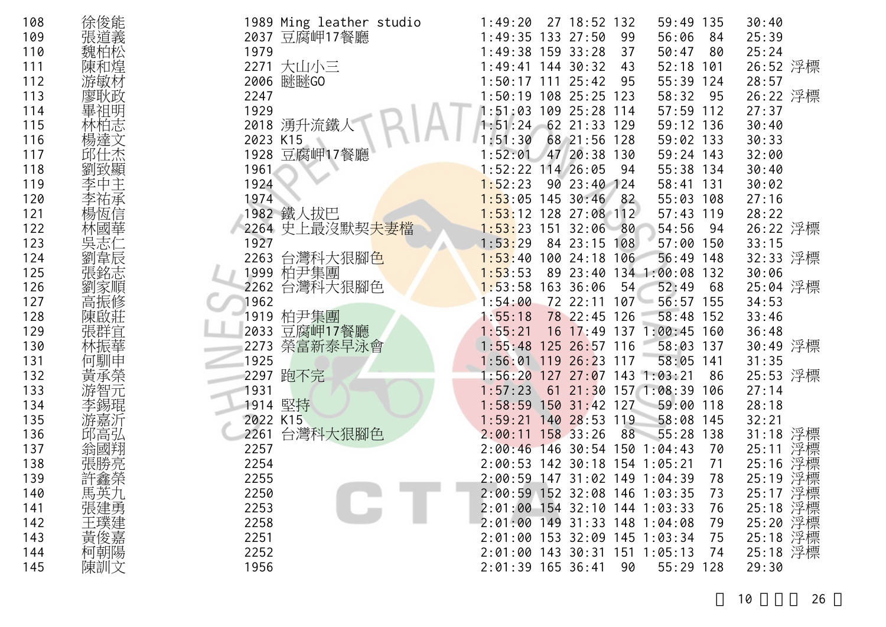| 徐俊能<br>108<br>1989 Ming leather studio<br>1:49:20 27 18:52 132<br>30:40<br>59:49 135<br>張道義<br>2037 豆腐岬17餐廳<br>109<br>1:49:35 133 27:50<br>25:39<br>99<br>56:06<br>84<br>魏柏松<br>1979<br>1:49:38 159 33:28<br>25:24<br>110<br>50:47<br>- 80<br>37<br>陳和煌<br>2271 大山小三<br>111<br>$1:49:41$ 144 30:32<br>52:18 101<br>43<br>游敏材<br>2006 瞇瞇GO<br>112<br>55:39 124<br>28:57<br>$1:50:17$ 111 $25:42$<br>-95<br>廖耿政<br>2247<br>1:50:19 108 25:25 123<br>113<br>58:32<br>95<br>畢祖明<br>1929<br>1:51:03 109 25:28 114<br>57:59 112<br>114<br>27:37 | 26:52 浮標<br>26:22 浮標 |
|-------------------------------------------------------------------------------------------------------------------------------------------------------------------------------------------------------------------------------------------------------------------------------------------------------------------------------------------------------------------------------------------------------------------------------------------------------------------------------------------------------------------------------------------|----------------------|
|                                                                                                                                                                                                                                                                                                                                                                                                                                                                                                                                           |                      |
|                                                                                                                                                                                                                                                                                                                                                                                                                                                                                                                                           |                      |
|                                                                                                                                                                                                                                                                                                                                                                                                                                                                                                                                           |                      |
|                                                                                                                                                                                                                                                                                                                                                                                                                                                                                                                                           |                      |
|                                                                                                                                                                                                                                                                                                                                                                                                                                                                                                                                           |                      |
|                                                                                                                                                                                                                                                                                                                                                                                                                                                                                                                                           |                      |
|                                                                                                                                                                                                                                                                                                                                                                                                                                                                                                                                           |                      |
| 林柏志<br>2018 湧升流鐵人<br>115<br>$1:51:24$ 62 21:33 129<br>59:12 136<br>30:40                                                                                                                                                                                                                                                                                                                                                                                                                                                                  |                      |
| 楊達文<br>2023 K15<br>68 21:56 128<br>116<br>1:51:30<br>59:02 133<br>30:33                                                                                                                                                                                                                                                                                                                                                                                                                                                                   |                      |
| 邱仕杰<br>1928 豆腐岬17餐廳<br>47 20:38 130<br>117<br>1:52:01<br>59:24 143<br>32:00                                                                                                                                                                                                                                                                                                                                                                                                                                                               |                      |
| 劉致顯<br>118<br>$1:52:22$ 114 26:05<br>55:38 134<br>30:40<br>1961<br>94                                                                                                                                                                                                                                                                                                                                                                                                                                                                     |                      |
| 季中主<br>1924<br>1:52:23<br>90 23:40 124<br>119<br>58:41 131<br>30:02                                                                                                                                                                                                                                                                                                                                                                                                                                                                       |                      |
| 1974<br>$1:53:05$ 145 30:46 82<br>55:03 108<br>120<br>27:16                                                                                                                                                                                                                                                                                                                                                                                                                                                                               |                      |
| 楊恆信<br>1982 鐵人拔巴<br>121<br>$1:53:12$ 128 27:08 112<br>28:22<br>$57:43$ 119                                                                                                                                                                                                                                                                                                                                                                                                                                                                |                      |
| 林國華<br>2264 史上最沒默契夫妻檔<br>122<br>$1:53:23$ 151 32:06 80<br>54:56<br>- 94                                                                                                                                                                                                                                                                                                                                                                                                                                                                   | 26:22 浮標             |
| 123<br>1927<br>1:53:29<br>84 23:15 108<br>57:00 150<br>33:15                                                                                                                                                                                                                                                                                                                                                                                                                                                                              |                      |
| 劉韋辰<br>2263 台灣科大狠腳色<br>124<br>56:49 148<br>$1:53:40$ 100 24:18 106                                                                                                                                                                                                                                                                                                                                                                                                                                                                        | 32:33 浮標             |
| 張銘志<br>1999 柏尹集團<br>89 23:40 134 1:00:08 132<br>125<br>1:53:53<br>30:06                                                                                                                                                                                                                                                                                                                                                                                                                                                                   |                      |
| 2262 台灣科大狠腳色<br>126<br>$1:53:58$ 163 36:06<br>52:49<br>劉家順<br>54<br>68                                                                                                                                                                                                                                                                                                                                                                                                                                                                    | 25:04 浮標             |
| 高振修<br>127<br>1962<br>$56:57$ 155<br>34:53<br>1:54:00<br>72 22:11 107                                                                                                                                                                                                                                                                                                                                                                                                                                                                     |                      |
| 1919 柏尹集團<br>78 22:45 126<br>128<br>$58:48$ 152<br>33:46<br>陳啟莊<br>1:55:18                                                                                                                                                                                                                                                                                                                                                                                                                                                                |                      |
| 2033 豆腐岬17餐廳<br>張群宜<br>林振華<br>129<br>16 17:49 137 1:00:45 160<br>1:55:21<br>36:48                                                                                                                                                                                                                                                                                                                                                                                                                                                         |                      |
| 2273 榮富新泰早泳會<br>130<br>1:55:48 125 26:57 116<br>58:03 137                                                                                                                                                                                                                                                                                                                                                                                                                                                                                 | 30:49 浮標             |
| 何馴申<br>1925<br>1:56:01 119 26:23 117<br>58:05 141<br>131<br>31:35                                                                                                                                                                                                                                                                                                                                                                                                                                                                         |                      |
| 2297 跑不完<br>132<br>86                                                                                                                                                                                                                                                                                                                                                                                                                                                                                                                     | 25:53 浮標             |
| 133<br>1931<br>61 21:30 157 1:08:39 106<br>27:14<br>1:57:23                                                                                                                                                                                                                                                                                                                                                                                                                                                                               |                      |
| 1914 堅持<br>李錫琨<br>134<br>$1:58:59$ 150 31:42 127 59:00 118<br>28:18                                                                                                                                                                                                                                                                                                                                                                                                                                                                       |                      |
| 2022 K15<br>135<br>140 28:53 119<br>32:21<br>1:59:21<br>58:08 145                                                                                                                                                                                                                                                                                                                                                                                                                                                                         |                      |
| 2261 台灣科大狠腳色<br>邱高弘<br>136<br>2:00:11 158 33:26<br>88<br>55:28 138                                                                                                                                                                                                                                                                                                                                                                                                                                                                        | 31:18 浮標             |
| 25:11<br>137<br>2257<br>2:00:46 146 30:54 150 1:04:43<br>翁國翔<br>70                                                                                                                                                                                                                                                                                                                                                                                                                                                                        | 浮標                   |
| 張勝亮<br>2254<br>138<br>2:00:53 142 30:18 154 1:05:21<br>71                                                                                                                                                                                                                                                                                                                                                                                                                                                                                 | 25:16 浮標             |
| 許鑫榮<br>2255<br>139<br>2:00:59 147 31:02 149 1:04:39 78                                                                                                                                                                                                                                                                                                                                                                                                                                                                                    | 25:19 浮標<br>25:17 浮標 |
| 馬英九<br>2250<br>140<br>2:00:59 152 32:08 146 1:03:35<br>-73                                                                                                                                                                                                                                                                                                                                                                                                                                                                                |                      |
| 張建勇<br>2253<br>141<br>2:01:00 154 32:10 144 1:03:33<br>76                                                                                                                                                                                                                                                                                                                                                                                                                                                                                 | 25:18 浮標             |
| 王璞建<br>2:01:00 149 31:33 148 1:04:08<br>142<br>2258<br>79                                                                                                                                                                                                                                                                                                                                                                                                                                                                                 | 25:20 浮標             |
| 黃俊嘉<br>2251<br>2:01:00 153 32:09 145 1:03:34<br>143<br>75                                                                                                                                                                                                                                                                                                                                                                                                                                                                                 | 25:18 浮標             |
| 柯朝陽<br>2252<br>2:01:00 143 30:31 151 1:05:13<br>144<br>74                                                                                                                                                                                                                                                                                                                                                                                                                                                                                 | 25:18 浮標             |
| 陳訓文<br>145<br>1956<br>2:01:39 165 36:41<br>29:30<br>90<br>55:29 128                                                                                                                                                                                                                                                                                                                                                                                                                                                                       |                      |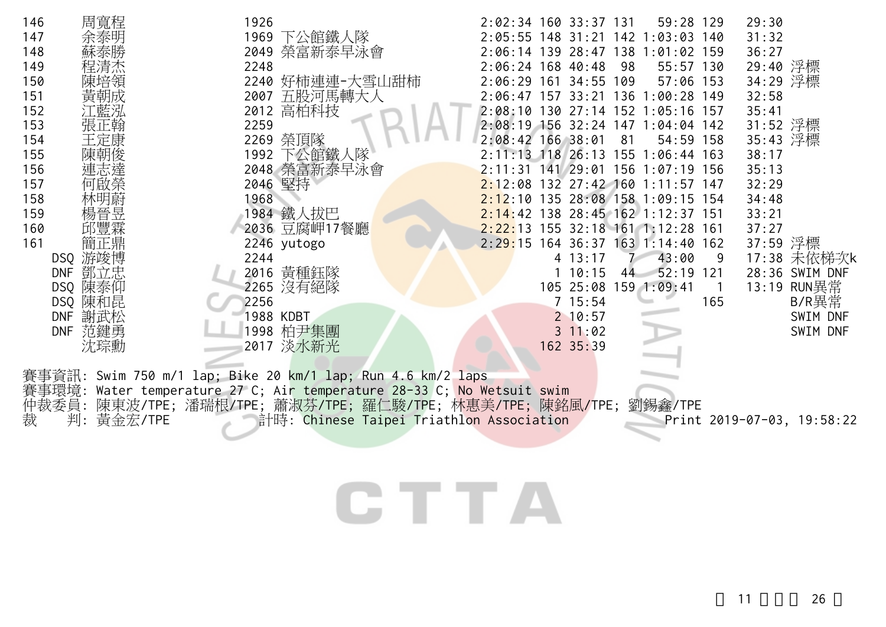| 周寬程<br>146<br>147<br>148<br>149<br>150<br>151<br>152<br>153<br>止翰<br>154<br>王定康<br>155                                                     | 1926<br>1969<br>下公館鐵人隊<br>2049 榮富新泰早泳會<br>2248<br>2240 好柿連連-大雪山甜柿<br>2007 五股河馬轉大人<br>2012 高柏科技<br>2259<br>2269 榮頂隊                                                                                                                               | 2:02:34 160 33:37 131<br>59:28 129<br>29:30<br>31:32<br>2:05:55 148 31:21 142 1:03:03 140<br>2:06:14 139 28:47 138 1:01:02 159<br>36:27<br>29:40 浮標<br>2:06:24 168 40:48<br>98<br>55:57 130<br>34:29 浮標<br>2:06:29 161 34:55 109<br>57:06 153<br>2:06:47 157 33:21 136 1:00:28 149<br>32:58<br>2:08:10 130 27:14 152 1:05:16 157<br>35:41<br>31:52 浮標<br>2:08:19 156 32:24 147 1:04:04 142<br>35:43 浮標<br>2:08:42 166 38:01<br>81<br>54:59 158<br>2:11:13 118 26:13 155 1:06:44 163<br>38:17                                   |
|--------------------------------------------------------------------------------------------------------------------------------------------|--------------------------------------------------------------------------------------------------------------------------------------------------------------------------------------------------------------------------------------------------|--------------------------------------------------------------------------------------------------------------------------------------------------------------------------------------------------------------------------------------------------------------------------------------------------------------------------------------------------------------------------------------------------------------------------------------------------------------------------------------------------------------------------------|
| 156<br>157<br>158<br>159<br>160<br>161<br>簡正鼎<br>DSQ 游竣博<br>鄧立忠<br><b>DNF</b><br>DSQ 陳泰仰<br>DSQ 陳和昆<br><b>DNF</b><br>謝武松<br>DNF 范鍵勇<br>沈琮勳 | 1992 下公館鐵人隊<br>2048 榮富新泰早泳會<br>2046 堅持<br>1968<br>1984 鐵人拔巴<br>2036 豆腐岬17餐廳<br>2246 yutogo<br>2244<br>2016 黃種鈺隊<br>2265 沒有絕隊<br>2256<br>1988 KDBT<br>1998 柏尹集團<br>2017 淡水新光                                                                      | 2:11:31 141 29:01 156 1:07:19 156<br>35:13<br>2:12:08 132 27:42 160 1:11:57 147<br>32:29<br>2:12:10 135 28:08 158 1:09:15 154<br>34:48<br>2:14:42 138 28:45 162 1:12:37 151<br>33:21<br>37:27<br>2:22:13 155 32:18 161 1:12:28 161<br>37:59 浮標<br>2:29:15 164 36:37 163 1:14:40 162<br>17:38 未依梯次k<br>4 13:17<br>43:00<br>9<br>52:19 121<br>110:15<br>28:36 SWIM DNF<br>44<br>13:19 RUN異常<br>105 25:08 159 1:09:41<br>$\overline{1}$<br>B/R異常<br>7 15:54<br>165<br>2 10:57<br>SWIM DNF<br>$3 \t11:02$<br>SWIM DNF<br>162 35:39 |
| 裁<br>判:<br>黃金宏/TPE                                                                                                                         | 賽事資訊: Swim 750 m/1 lap; Bike 20 km/1 lap; Run 4.6 km/2 laps<br>賽事環境: Water temperature 27 C; Air temperature 28-33 C; No Wetsuit swim<br>仲裁委員: 陳東波/TPE; 潘瑞根/TPE; 蕭淑芬/TPE; 羅仁駿/TPE; 林惠美/TPE; 陳銘風/TPE;<br>計時: Chinese Taipei Triathlon Association | 劉錫鑫/TPE<br>Print 2019-07-03, 19:58:22                                                                                                                                                                                                                                                                                                                                                                                                                                                                                          |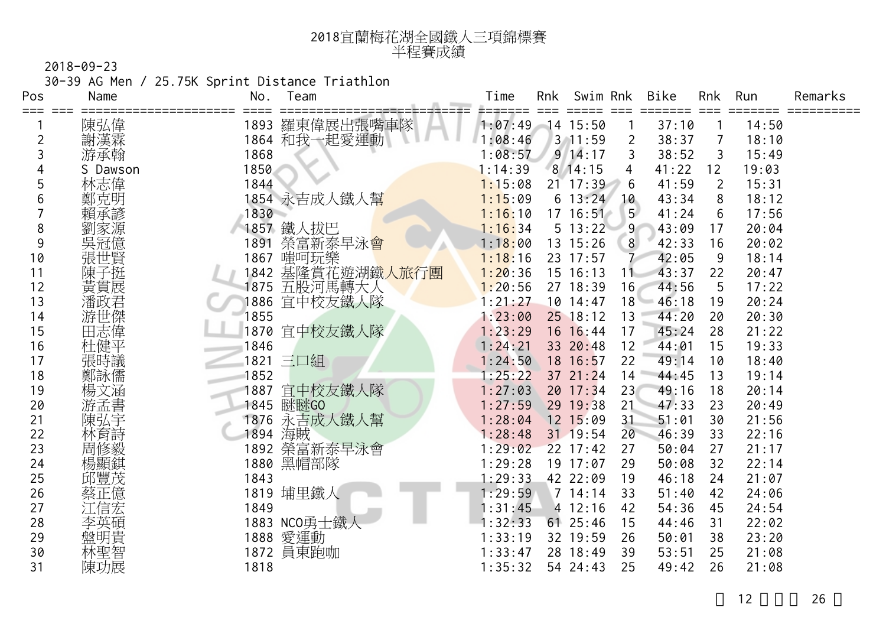| 2018宜蘭梅花湖全國鐵人三項錦標賽 |
|--------------------|
| 半程賽成績              |

30-39 AG Men / 25.75K Sprint Distance Triathlon

| Pos | Name     | No.<br>Team                   | Time    | Rnk | Swim Rnk     |                | Bike  | Rnk               | Run   | Remarks |
|-----|----------|-------------------------------|---------|-----|--------------|----------------|-------|-------------------|-------|---------|
| === | 陳弘偉      | 1893 羅東偉展出張嘴車隊                | 1:07:49 |     | 14 15:50     |                | 37:10 |                   | 14:50 |         |
| 2   | 謝漢霖      | 1864 和我一起愛運動                  | 1:08:46 |     | $3 \t11:59$  | $\overline{2}$ | 38:37 | 7                 | 18:10 |         |
| 3   | 游承翰      | 1868                          | 1:08:57 |     | $9 \t14:17$  | 3              | 38:52 | 3                 | 15:49 |         |
| 4   | S Dawson | 1850                          | 1:14:39 |     | 8, 14:15     | 4              | 41:22 | $12 \overline{ }$ | 19:03 |         |
| 5   | 林志偉      | 1844                          | 1:15:08 |     | $21 \t17:39$ | 6              | 41:59 | 2                 | 15:31 |         |
| 6   | 鄭克明      | 1854 永吉成人鐵人幫                  | 1:15:09 |     | 6 13:24      | 10             | 43:34 | 8                 | 18:12 |         |
|     | 賴承諺      | 1830                          | 1:16:10 |     | $17 \t16:51$ | 5 <sup>5</sup> | 41:24 | 6                 | 17:56 |         |
| 8   | 劉家源      | 1857 鐵人拔巴                     | 1:16:34 |     | 5 13:22      | 9              | 43:09 | 17                | 20:04 |         |
| 9   | 吳冠億      | 榮富新泰早泳 <mark>會</mark><br>1891 | 1:18:00 |     | 13 15:26     | 8              | 42:33 | 16                | 20:02 |         |
| 10  | 張世賢      | 嗤呵玩樂<br>1867                  | 1:18:16 |     | 23 17:57     |                | 42:05 | 9                 | 18:14 |         |
| 11  | 陳子挺      | 基隆賞花遊湖鐵人旅行團<br>1842           | 1:20:36 |     | 15 16:13     | 11             | 43:37 | 22                | 20:47 |         |
| 12  | 黃貫展      | 五股河馬轉大人<br>1875               | 1:20:56 |     | 27 18:39     | 16             | 44:56 | 5                 | 17:22 |         |
| 13  | 潘政君      | 宜中校友鐵人隊<br>1886               | 1:21:27 |     | 10 14:47     | 18             | 46:18 | 19                | 20:24 |         |
| 14  | 游世傑      | 1855                          | 1:23:00 |     | $25$ 18:12   | 13             | 44:20 | 20                | 20:30 |         |
| 15  | 田志偉      | 1870 宜中校友鐵人隊                  | 1:23:29 |     | 16 16:44     | 17             | 45:24 | 28                | 21:22 |         |
| 16  | 杜健平      | 1846                          | 1:24:21 |     | 33 20:48     | 12             | 44:01 | 15                | 19:33 |         |
| 17  | 張時議      | 1821 三口組                      | 1:24:50 |     | 18 16:57     | 22             | 49:14 | 10                | 18:40 |         |
| 18  | 鄭詠儒      | 1852                          | 1:25:22 |     | 37 21:24     | 14             | 44:45 | 13                | 19:14 |         |
| 19  | 楊文涵      | 宜中校友鐵人隊<br>1887               | 1:27:03 |     | 20 17:34     | 23             | 49:16 | 18                | 20:14 |         |
| 20  | 游孟書      | 1845 瞇瞇GO                     | 1:27:59 |     | 29 19:38     | 21             | 47:33 | 23                | 20:49 |         |
| 21  | 陳弘宇      | 永吉成人鐵人幫<br>1876               | 1:28:04 |     | 12 15:09     | 31             | 51:01 | 30                | 21:56 |         |
| 22  | 林育詩      | 海賊<br>1894                    | 1:28:48 |     | 31 19:54     | 20             | 46:39 | 33                | 22:16 |         |
| 23  | 周修毅      | 1892 榮富新泰早泳會                  | 1:29:02 |     | $22$ 17:42   | 27             | 50:04 | 27                | 21:17 |         |
| 24  | 楊顯錤      | 1880 黑帽部隊                     | 1:29:28 |     | 19 17:07     | 29             | 50:08 | 32                | 22:14 |         |
| 25  | 邱豐茂      | 1843                          | 1:29:33 |     | 42 22:09     | 19             | 46:18 | 24                | 21:07 |         |
| 26  | 蔡正億      | 1819 埔里鐵人                     | 1:29:59 |     | 7 14:14      | 33             | 51:40 | 42                | 24:06 |         |
| 27  | 江信宏      | 1849                          | :31:45  |     | 4 12:16      | 42             | 54:36 | 45                | 24:54 |         |
| 28  | 李英碩      | 1883 NCO勇士鐵人                  | :32:33  |     | $61$ 25:46   | 15             | 44:46 | 31                | 22:02 |         |
| 29  | 盤明貴      | 1888 愛運動                      | 1:33:19 |     | 32 19:59     | 26             | 50:01 | 38                | 23:20 |         |
| 30  | 林聖智      | 1872 員東跑咖                     | 1:33:47 |     | 28 18:49     | 39             | 53:51 | 25                | 21:08 |         |
| 31  | 陳功展      | 1818                          | 1:35:32 |     | 54 24:43     | 25             | 49:42 | 26                | 21:08 |         |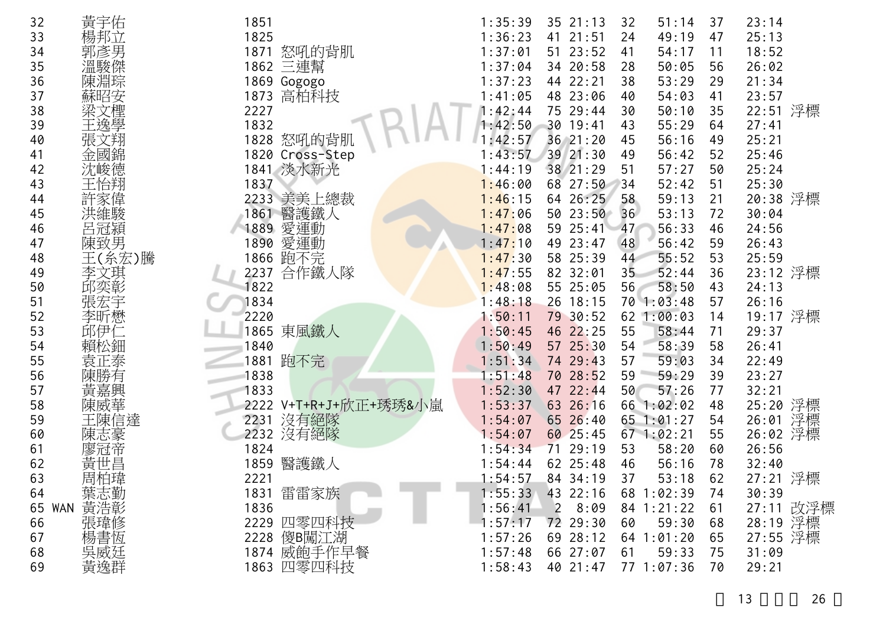| 32 | 黃宇佑            | 1851                     | 1:35:39<br>35 21:13<br>23:14<br>32<br>51:14<br>37       |
|----|----------------|--------------------------|---------------------------------------------------------|
| 33 | 楊邦立            | 1825                     | 1:36:23<br>41<br>21:51<br>24<br>49:19<br>47<br>25:13    |
| 34 | 郭彥男            | 1871<br>怒吼的背肌            | 1:37:01<br>51 23:52<br>54:17<br>18:52<br>41<br>11       |
| 35 | 温駿傑            | 1862 三連幫                 | 1:37:04<br>34 20:58<br>50:05<br>26:02<br>28<br>56       |
| 36 |                |                          | 38<br>1:37:23<br>44 22:21<br>53:29<br>29                |
|    | 陳淵琮            | 1869 Gogogo              | 21:34                                                   |
| 37 | 蘇昭安            | 高柏科技<br>1873             | 23:57<br>1:41:05<br>48 23:06<br>54:03<br>40<br>41       |
| 38 | 梁文檉            | 2227                     | 22:51 浮標<br>75 29:44<br>1:42:44<br>30<br>35<br>50:10    |
| 39 | 王逸學            | 1832                     | 1:42:50<br>43<br>30 19:41<br>55:29<br>64<br>27:41       |
| 40 | 張文翔            | 1828<br>怒吼的背肌            | 1:42:57<br>25:21<br>36 21:20<br>45<br>56:16<br>49       |
| 41 | 金國錦            | 1820<br>Cross-Step       | 39 21:30<br>25:46<br>1:43:57<br>49<br>56:42<br>52       |
| 42 | 沈峻德            | 1841 淡水新光                | 1:44:19<br>38 21:29<br>51<br>57:27<br>50<br>25:24       |
| 43 | 王怡翔            | 1837                     | 68 27:50<br>25:30<br>1:46:00<br>52:42<br>34<br>51       |
| 44 | 許家偉            | 2233 美美上總裁               | 64 26:25<br>20:38 浮標<br>1:46:15<br>58<br>59:13<br>21    |
| 45 |                | 醫護鐵人<br>1861             | 36<br>1:47:06<br>50 23:50<br>53:13<br>72<br>30:04       |
| 46 | 呂冠潁            | 愛運動<br>1889              | 24:56<br>1:47:08<br>59 25:41<br>56:33<br>46<br>47       |
| 47 | 陳致男            | 愛運動<br>1890              | 49 23:47<br>1:47:10<br>56:42<br>59<br>26:43<br>48       |
| 48 | 王(糸宏)騰         | 1866 跑不完                 | 53<br>25:59<br>1:47:30<br>58 25:39<br>44<br>55:52       |
| 49 | 李文琪            | 合作鐵人隊<br>2237            | 23:12 浮標<br>1:47:55<br>82 32:01<br>52:44<br>36<br>35    |
| 50 | 邱奕彰            | 1822                     | 55 25:05<br>58:50<br>1:48:08<br>56<br>43<br>24:13       |
| 51 | 張宏宇            | 1834                     | 57<br>1:48:18<br>26 18:15<br>70 1:03:48<br>26:16        |
| 52 | 李昕懋            | 2220                     | 19:17 浮標<br>1:50:11<br>79 30:52<br>62 1:00:03<br>14     |
| 53 | 邱伊仁            | 東風鐵人<br>1865             | 46 22:25<br>55<br>29:37<br>1:50:45<br>58:44<br>71       |
| 54 | 賴松鈿            | 1840                     | 58<br>1:50:49<br>57 25:30<br>54<br>58:39<br>26:41       |
| 55 | 袁正泰            | 跑不完<br>1881              | 1:51:34<br>74 29:43<br>57<br>59:03<br>22:49<br>34       |
| 56 | 陳勝有            | 1838                     | 1:51:48<br>70 28:52<br>59<br>23:27<br>59:29<br>39       |
| 57 | 黃嘉興            | 1833                     | 1:52:30<br>47 22:44<br>50<br>77<br>32:21<br>57:26       |
| 58 | 陳威華<br>王陳信達    | V+T+R+J+欣正+琇琇&小嵐<br>2222 | 25:20 浮標<br>66 1:02:02<br>1:53:37<br>63 26:16<br>48     |
| 59 |                | 沒有絕隊<br>2231             | 26:01 浮標<br>65 1:01:27<br>1:54:07<br>65 26:40<br>54     |
| 60 | 陳志豪            | 2232 沒有絕隊                | 26:02 浮標<br>60 25:45<br>$67$ $1:02:21$<br>1:54:07<br>55 |
| 61 | 廖冠帝            | 1824                     | 29:19<br>58:20<br>26:56<br>1:54:34<br>71<br>53<br>60    |
| 62 | 黃世昌            | 醫護鐵人<br>1859             | 62 25:48<br>78<br>1:54:44<br>46<br>56:16<br>32:40       |
| 63 | 周柏瑋            | 2221                     | 27:21 浮標<br>1:54:57<br>37<br>53:18<br>62<br>84, 34:19   |
| 64 | 葉志勤<br>WAN 黃浩彰 | 1831 雷雷家族                | $1:55:33$ 43 22:16<br>68 1:02:39<br>30:39<br>74         |
| 65 |                | 1836                     | 27:11 改浮標<br>84 1:21:22<br>1:56:41<br>28:09<br>61       |
| 66 | 張瑋修            | 2229 四零四科技               | 28:19 浮標<br>72 29:30<br>59:30<br>1:57:17<br>60<br>68    |
| 67 | 楊書恆            | 2228 傻B闖江湖               | 27:55 浮標<br>69 28:12<br>1:57:26<br>$64$ 1:01:20<br>65   |
| 68 | 吳威廷            | 1874 威飽手作早餐              | 66 27:07<br>59:33<br>1:57:48<br>31:09<br>61<br>75       |
| 69 | 黃逸群            | 1863 四零四科技               | 1:58:43<br>40 21:47<br>77 1:07:36<br>70<br>29:21        |

13 26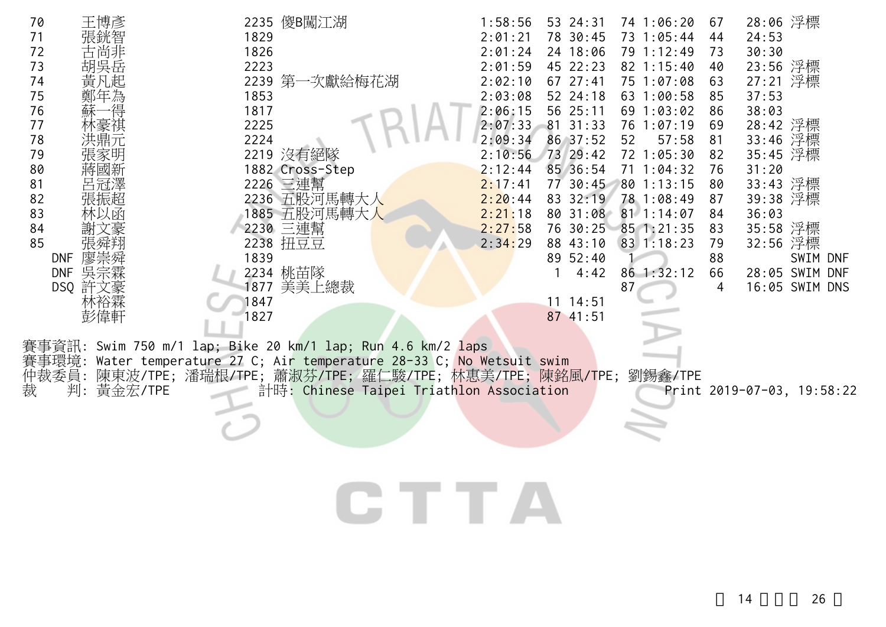| 70<br>71<br>72<br>73<br>74<br>哉<br>75                         | 2235 傻B闖江湖<br>1829<br>1826<br>2223<br>2239 第一次獻給梅花湖<br>1853                                                                                                                                                                            | 1:58:56<br>53 24:31<br>74 1:06:20<br>2:01:21<br>78 30:45<br>73 1:05:44<br>2:01:24<br>24 18:06<br>79 1:12:49<br>2:01:59<br>45 22:23<br>$82 \t1:15:40$<br>2:02:10<br>67 27:41<br>75 1:07:08<br>2:03:08<br>52 24:18<br>63 1:00:58 | 28:06 浮標<br>67<br>24:53<br>44<br>30:30<br>73<br>23:56 浮標<br>40<br>27:21 浮標<br>63<br>37:53<br>85       |
|---------------------------------------------------------------|----------------------------------------------------------------------------------------------------------------------------------------------------------------------------------------------------------------------------------------|--------------------------------------------------------------------------------------------------------------------------------------------------------------------------------------------------------------------------------|-------------------------------------------------------------------------------------------------------|
| 76<br>77<br>78<br>79<br>80<br>蔣國新                             | 1817<br>2225<br>2224<br>2219 沒有絕隊<br>1882 Cross-Step                                                                                                                                                                                   | 2:06:15<br>56 25:11<br>69 1:03:02<br>81 31:33<br>2:07:33<br>76 1:07:19<br>2:09:34<br>86 37:52<br>57:58<br>52<br>2:10:56 73 29:42<br>72 1:05:30<br>2:12:44<br>85 36:54<br>$71 \t1:04:32$                                        | 38:03<br>86<br>28:42 浮標<br>69<br>33:46 浮標<br>81<br>35:45 浮標<br>82<br>31:20<br>76                      |
| 81<br>82<br>張振超<br>83<br>林以函<br>84<br>85<br>廖崇舜<br><b>DNF</b> | 2226 三連幫<br>2236 五股河馬轉大人<br>1885 五股河馬轉大人<br>2230 三連幫<br>2238 扭豆豆<br>1839                                                                                                                                                               | 77 30:45<br>2:17:41<br>80 1:13:15<br>2:20:44<br>83 32:19<br>78 1:08:49<br>2:21:18<br>80 31:08 81 1:14:07<br>2:27:58<br>76 30:25<br>851:21:35<br>2:34:29<br>88 43:10<br>83 1:18:23<br>89 52:40                                  | 33:43 浮標<br>80<br>39:38 浮標<br>87<br>36:03<br>84<br>35:58 浮標<br>83<br>32:56 浮標<br>79<br>88<br>SWIM DNF |
| 吳宗霖<br><b>DNF</b><br>DSQ 許文豪<br>杯裕槑<br>彭偉軒                    | 2234 桃苗隊<br>1877 美美上總裁<br>1847<br>1827                                                                                                                                                                                                 | 4:42<br>86 1:32:12<br>87<br>11114:51<br>87 41:51                                                                                                                                                                               | 66<br>28:05 SWIM DNF<br>16:05 SWIM DNS<br>4                                                           |
| 事環境:<br>仲裁委員:<br>判: 黃金宏/TPE<br>裁                              | 賽事資訊: Swim 750 m/1 lap; Bike 20 km/1 lap; Run 4.6 km/2 laps<br>Water temperature 27 C; Air temperature 28-33 C; No Wetsuit swim<br>陳東波/TPE;潘瑞根/TPE;蕭淑芬/TPE;羅仁駿/TPE;林惠美/TPE;陳銘風/TPE;劉錫鑫/TPE<br>計時: Chinese Taipei Triathlon Association |                                                                                                                                                                                                                                | Print 2019-07-03, 19:58:22                                                                            |

CTTA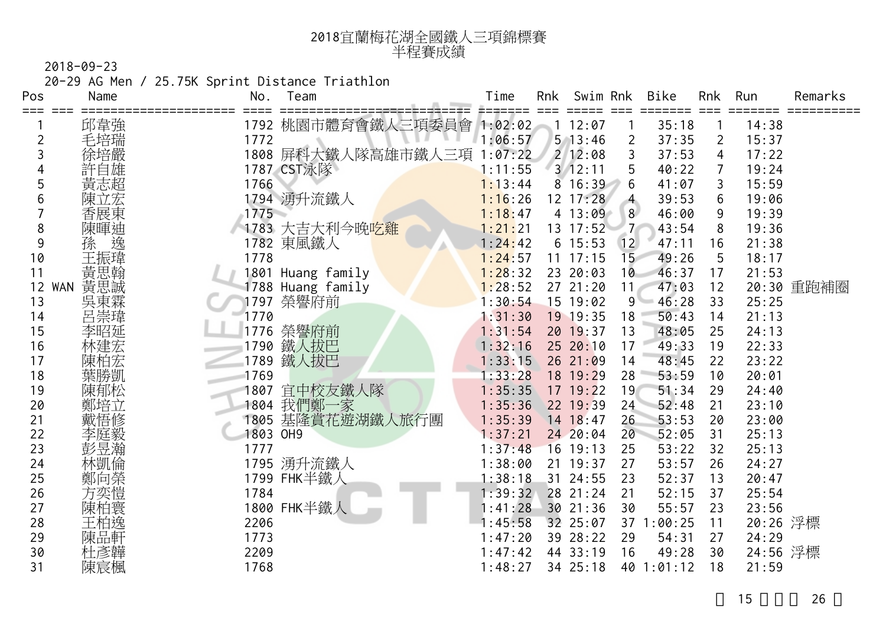| 2018宜蘭梅花湖全國鐵人三項錦標賽 |
|--------------------|
| 半程賽成績              |

20-29 AG Men / 25.75K Sprint Distance Triathlon

| Pos            | Name              | No.      | Team                        | Time    | Rnk | Swim Rnk     |                 | Bike       | Rnk            | Run      | Remarks |
|----------------|-------------------|----------|-----------------------------|---------|-----|--------------|-----------------|------------|----------------|----------|---------|
| ===            | 邱韋強               |          | 1792 桃園市體育會鐵人三項委員會 1:02:02  |         |     | 12:07        |                 | 35:18      |                | 14:38    |         |
| $\overline{c}$ | 毛培瑞               | 1772     |                             | 1:06:57 |     | $5 \t13:46$  | 2               | 37:35      | $\overline{2}$ | 15:37    |         |
| 3              | 徐培嚴               |          | 1808 屏科大鐵人隊高雄市鐵人<br>三項      | 1:07:22 |     | 212:08       | 3               | 37:53      | 4              | 17:22    |         |
| 4              |                   |          | 1787 CST泳隊                  | 1:11:55 |     | 3/12:11      | 5               | 40:22      | 7              | 19:24    |         |
| 5              | 黃志超               | 1766     |                             | 1:13:44 |     | 8 16:39      | 6               | 41:07      | 3              | 15:59    |         |
| 6              | 陳立宏               |          | 1794 湧升流鐵人                  | 1:16:26 |     | 12 17:28     | $\overline{4}$  | 39:53      | 6              | 19:06    |         |
|                | 香展東               | 1775     |                             | 1:18:47 |     | 4 13:09      | 8 <sup>°</sup>  | 46:00      | 9              | 19:39    |         |
| 8              |                   |          | 1783 大吉大利今晚 <mark>吃雞</mark> | 1:21:21 |     | $13 \t17:52$ | 7 <sup>1</sup>  | 43:54      | 8              | 19:36    |         |
| 9              | 陳暉迪<br>孫          |          | 1782 東風鐵人                   | 1:24:42 |     | $6\;15:53$   | 12              | 47:11      | 16             | 21:38    |         |
| 10             | 王振瑋               | 1778     |                             | 1:24:57 |     | $11$ 17:15   | 15 <sub>1</sub> | 49:26      | 5              | 18:17    |         |
| 11             | 黃思翰               | 1801     | Huang family                | 1:28:32 |     | 23 20:03     | 10              | 46:37      | 17             | 21:53    |         |
| 12             | 黃思誠<br><b>WAN</b> |          | 1788 Huang family           | 1:28:52 |     | 27 21:20     | 11              | 47:03      | 12             | 20:30    | 重跑補圈    |
| 13             | 吳東霖               | 1797     | 榮譽府前                        | 1:30:54 |     | 15 19:02     | 9 <sup>°</sup>  | 46:28      | 33             | 25:25    |         |
| 14             | 呂崇瑋               | 1770     |                             | 1:31:30 |     | 19 19:35     | 18              | 50:43      | 14             | 21:13    |         |
| 15             | 李昭延               | 1776     | 榮譽府前                        | 1:31:54 |     | 20 19:37     | 13              | 48:05      | 25             | 24:13    |         |
| 16             | 林建宏               | 1790     | 鐵人拔巴                        | 1:32:16 |     | 25 20:10     | 17              | 49:33      | 19             | 22:33    |         |
| 17             | 陳柏宏               | 1789     | 鐵人拔巴                        | 1:33:15 |     | 26 21:09     | 14              | 48:45      | 22             | 23:22    |         |
| 18             | 葉勝凱               | 1769     |                             | 1:33:28 |     | 18 19:29     | 28              | 53:59      | 10             | 20:01    |         |
| 19             | 陳郁松               | 1807     | 宜中校友鐵人隊                     | 1:35:35 |     | $17$ $19:22$ | 19              | 51:34      | 29             | 24:40    |         |
| 20             | 鄭培立               | 1804     | 我們鄭一家                       | 1:35:36 |     | 22 19:39     | 24              | 52:48      | 21             | 23:10    |         |
| 21             | 戴悟修               | 1805     | 基隆賞花遊湖鐵人旅行團                 | 1:35:39 |     | 14 18:47     | 26              | 53:53      | 20             | 23:00    |         |
| 22             | 李庭毅               | 1803 OH9 |                             | 1:37:21 |     | 24 20:04     | 20              | 52:05      | 31             | 25:13    |         |
| 23             | 彭昱瀚               | 1777     |                             | 1:37:48 |     | 16 19:13     | 25              | 53:22      | 32             | 25:13    |         |
| 24             | 林凱倫               | 1795     | 湧升流鐵人                       | 1:38:00 |     | 21 19:37     | 27              | 53:57      | 26             | 24:27    |         |
| 25             | 鄭向榮               |          | 1799 FHK半鐵人                 | 1:38:18 |     | 31 24:55     | 23              | 52:37      | 13             | 20:47    |         |
| 26             | 方奕愷               | 1784     |                             | 1:39:32 |     | 28 21:24     | 21              | 52:15      | 37             | 25:54    |         |
| 27             | 陳柏寰               |          | 1800 FHK半鐵人                 | 1:41:28 |     | 30 21:36     | 30              | 55:57      | 23             | 23:56    |         |
| 28             | 王柏逸               | 2206     |                             | :45:58  |     | 32 25:07     | 37              | 1:00:25    | 11             | 20:26 浮標 |         |
| 29             | 陳品軒               | 1773     |                             | 1:47:20 |     | 39 28:22     | 29              | 54:31      | 27             | 24:29    |         |
| 30             | 杜彥韡               | 2209     |                             | 1:47:42 |     | 44 33:19     | 16              | 49:28      | 30             | 24:56 浮標 |         |
| 31             | 陳宸楓               | 1768     |                             | 1:48:27 |     | 34 25:18     |                 | 40 1:01:12 | 18             | 21:59    |         |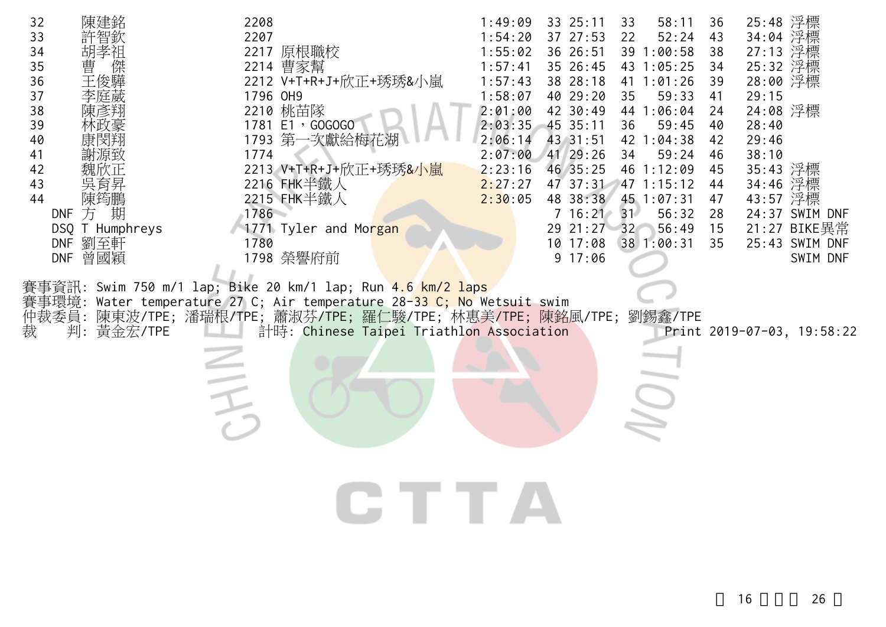| 陳建銘<br>32<br>33<br>34<br>胡孝祖<br>曹<br>35<br>傑<br>王俊驊<br>36<br>37<br>李庭葳<br>38<br>陳彥翔<br>39<br>40<br>康閔翔<br>41<br>謝源致<br>42<br>43<br>吳育昇<br>44<br>陳筠鵬<br>方期<br><b>DNF</b><br>DSQ T Humphreys<br>DNF 劉至軒<br>DNF 曾國穎 | 2208<br>2207<br>2217 原根職校<br>2214 曹家幫<br>2212 V+T+R+J+欣正+琇琇&小嵐<br>1796 OH9<br>2210 桃苗隊<br>1781 E1, GOGOGO<br>1793 第一次獻給梅花湖<br>1774<br>2213 V+T+R+J+欣正+琇琇&小嵐<br>2216 FHK半鐵人<br>2215 FHK半鐵人<br>1786<br>1771 Tyler and Morgan<br>1780<br>1798 榮譽府前<br>事資訊: Swim 750 m/1 lap; Bike 20 km/1 lap; Run <mark>4.6 km/2 laps</mark> | 1:49:09<br>33 25:11<br>58:11<br>33<br>52:24<br>1:54:20<br>37 27:53<br>22<br>1:55:02<br>36 26:51<br>39 1:00:58<br>1:57:41<br>35 26:45<br>43 1:05:25<br>1:57:43<br>38 28:18<br>41 1:01:26<br>40 29:20<br>1:58:07<br>59:33<br>35<br>42 30:49<br>2:01:00<br>44 1:06:04<br>$2:03:35$ 45 35:11<br>59:45<br>36<br>43 31:51<br>2:06:14<br>42 1:04:38<br>2:07:00<br>41 29:26<br>59:24<br>34<br>2:23:16<br>46 1:12:09<br>46 35:25<br>47 37:31<br>2:27:27<br>47 1:15:12<br>48 38:38<br>2:30:05<br>45 1:07:31<br>$7\;16:21$<br>31<br>56:32<br>29 21:27 32<br>56:49<br>$10$ $17:08$<br>38 1:00:31<br>9 17:06 | 25:48 浮標<br>36<br>34:04 浮標<br>43<br>27:13 浮標<br>38<br>25:32 浮標<br>34<br>28:00 浮標<br>39<br>29:15<br>41<br>24:08 浮標<br>24<br>28:40<br>40<br>29:46<br>42<br>38:10<br>46<br>35:43 浮標<br>45<br>34:46 浮標<br>44<br>43:57 浮標<br>47<br>28<br>24:37 SWIM DNF<br>21:27 BIKE異常<br>15<br>25:43 SWIM DNF<br>35<br>SWIM DNF |
|------------------------------------------------------------------------------------------------------------------------------------------------------------------------------------------------------------------|----------------------------------------------------------------------------------------------------------------------------------------------------------------------------------------------------------------------------------------------------------------------------------------------------------------------------|-------------------------------------------------------------------------------------------------------------------------------------------------------------------------------------------------------------------------------------------------------------------------------------------------------------------------------------------------------------------------------------------------------------------------------------------------------------------------------------------------------------------------------------------------------------------------------------------------|--------------------------------------------------------------------------------------------------------------------------------------------------------------------------------------------------------------------------------------------------------------------------------------------------------------|
| 賽事環境:<br>仲裁委員:<br>裁<br>判:黃金宏/TPE                                                                                                                                                                                 | Water temperature 27 C; Air temperature 28-33 C; No Wetsuit swim<br>陳東波/TPE;潘瑞根/TPE;蕭淑芬/TPE;羅仁駿/TPE;林惠美/TPE;陳銘風/TPE;劉錫鑫/TPE<br>計時: Chinese Taipei Triathlon Association                                                                                                                                                    |                                                                                                                                                                                                                                                                                                                                                                                                                                                                                                                                                                                                 | Print 2019-07-03, 19:58:22                                                                                                                                                                                                                                                                                   |
|                                                                                                                                                                                                                  | そ                                                                                                                                                                                                                                                                                                                          |                                                                                                                                                                                                                                                                                                                                                                                                                                                                                                                                                                                                 |                                                                                                                                                                                                                                                                                                              |
|                                                                                                                                                                                                                  | <b>CTTA</b>                                                                                                                                                                                                                                                                                                                |                                                                                                                                                                                                                                                                                                                                                                                                                                                                                                                                                                                                 |                                                                                                                                                                                                                                                                                                              |
|                                                                                                                                                                                                                  |                                                                                                                                                                                                                                                                                                                            |                                                                                                                                                                                                                                                                                                                                                                                                                                                                                                                                                                                                 |                                                                                                                                                                                                                                                                                                              |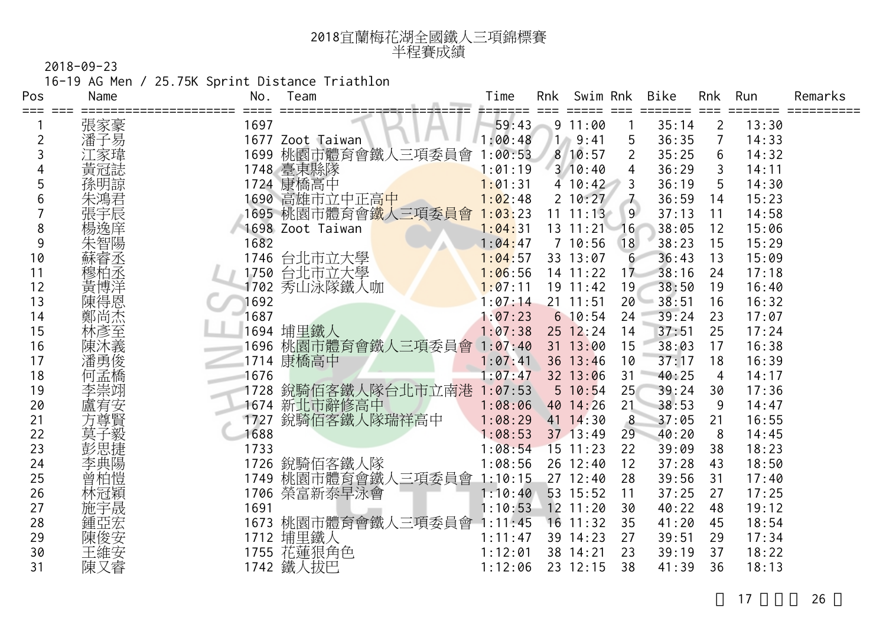| 2018宜蘭梅花湖全國鐵人三項錦標賽 |
|--------------------|
| 半程賽成績              |

16-19 AG Men / 25.75K Sprint Distance Triathlon

| Pos | Name | No.  | Team                   | Time    | Rnk   | Swim Rnk     |                  | Bike  | <b>Rnk</b>     | Run   | Remarks |
|-----|------|------|------------------------|---------|-------|--------------|------------------|-------|----------------|-------|---------|
| === | 張家豪  | 1697 |                        | 59:43   |       | 9 11:00      |                  | 35:14 | $\overline{2}$ | 13:30 |         |
| 2   | 潘子易  |      | 1677 Zoot Taiwan       | :00:48  | /1./) | 9:41         | 5                | 36:35 | 7              | 14:33 |         |
| 3   | 家瑋   | 1699 | 桃園市體育會鐵人三項委員會          | :00:53  |       | 8 10:57      | $\overline{2}$   | 35:25 | 6              | 14:32 |         |
|     | 黃冠誌  |      | 1748 臺東縣隊              | 1:01:19 |       | $3 \t10:40$  | 4                | 36:29 | 3              | 14:11 |         |
| 5   | 孫明諒  | 1724 | 康橋高中                   | 1:01:31 |       | 4 10:42      | 3                | 36:19 | 5              | 14:30 |         |
| 6   | 朱鴻君  | 1690 | 富雄市立中正高 <mark>中</mark> | 1:02:48 |       | 2 10:27      | $\overline{7}$   | 36:59 | 14             | 15:23 |         |
|     | 張宇辰  |      | 1695 桃園市體育會鐵人三項委員會     | 1:03:23 | 11    | 11:13        | 9 <sup>°</sup>   | 37:13 | 11             | 14:58 |         |
| 8   | 愓逸庠  |      | 1698 Zoot Taiwan       | 1:04:31 |       | $13 \t11:21$ | 16               | 38:05 | 12             | 15:06 |         |
| 9   | 朱智陽  | 1682 |                        | 1:04:47 |       | 7 10:56      | 18               | 38:23 | 15             | 15:29 |         |
| 10  | 蘇睿丞  | 1746 | 台北市立大學                 | 1:04:57 |       | 33 13:07     | $6 \overline{6}$ | 36:43 | 13             | 15:09 |         |
| 11  | 穆柏丞  | 1750 | 台北市立大學                 | 1:06:56 |       | 14 11:22     | 17               | 38:16 | 24             | 17:18 |         |
| 12  | 黃博洋  | 1702 | 秀山泳隊鐵人咖                | 1:07:11 |       | 19 11:42     | 19               | 38:50 | 19             | 16:40 |         |
| 13  | 陳得恩  | 1692 |                        | 1:07:14 |       | $21$ 11:51   | 20               | 38:51 | 16             | 16:32 |         |
| 14  | 鄭尚杰  | 1687 |                        | 1:07:23 |       | 610:54       | 24               | 39:24 | 23             | 17:07 |         |
| 15  | 林彥至  |      | 1694 埔里鐵人              | 1:07:38 |       | $25$ 12:24   | 14               | 37:51 | 25             | 17:24 |         |
| 16  | 陳沐義  |      | 1696 桃園市體育會鐵人三項委員會     | 1:07:40 |       | $31 \t13:00$ | 15               | 38:03 | 17             | 16:38 |         |
| 17  | 潘勇俊  |      | 1714 康橋高中              | 1:07:41 |       | 36 13:46     | 10               | 37:17 | 18             | 16:39 |         |
| 18  | 何孟橋  | 1676 |                        | 1:07:47 |       | 32 13:06     | 31               | 40:25 | 4              | 14:17 |         |
| 19  | 李崇翊  | 1728 | 銳騎佰客鐵人隊台北市立南港          | 1:07:53 |       | 5 10:54      | 25               | 39:24 | 30             | 17:36 |         |
| 20  | 盧宥安  | 1674 | 新北市辭修高中                | 1:08:06 |       | 40 14:26     | 21               | 38:53 | 9              | 14:47 |         |
| 21  | 方尊賢  | 1727 | 銳騎佰客鐵人隊瑞祥高中            | 1:08:29 |       | 41 14:30     | 8                | 37:05 | 21             | 16:55 |         |
| 22  | 莫子毅  | 1688 |                        | 1:08:53 |       | 37 13:49     | 29               | 40:20 | 8              | 14:45 |         |
| 23  |      | 1733 |                        | 1:08:54 |       | $15$ 11:23   | 22               | 39:09 | 38             | 18:23 |         |
| 24  | 李典陽  |      | 1726 銳騎佰客鐵人隊           | 1:08:56 |       | 26 12:40     | 12               | 37:28 | 43             | 18:50 |         |
| 25  | 曾柏愷  |      | 1749 桃園市體育會鐵人三項委員會     | 1:10:15 |       | 27 12:40     | 28               | 39:56 | 31             | 17:40 |         |
| 26  | 林冠穎  |      | 1706 榮富新泰早泳會           | 1:10:40 |       | 53 15:52     | 11               | 37:25 | 27             | 17:25 |         |
| 27  | 施宇晟  | 1691 |                        | 1:10:53 |       | $12$ $11:20$ | 30               | 40:22 | 48             | 19:12 |         |
| 28  | 鍾亞宏  |      | 1673 桃園市體育會鐵人三項委員會     | 1:11:45 |       | $16$ 11:32   | 35               | 41:20 | 45             | 18:54 |         |
| 29  | 陳俊安  |      | 1712 埔里鐵人              | 1:11:47 |       | 39 14:23     | 27               | 39:51 | 29             | 17:34 |         |
| 30  | 王維安  |      | 1755 花蓮狠角色             | 1:12:01 |       | 38 14:21     | 23               | 39:19 | 37             | 18:22 |         |
| 31  | 陳又睿  |      | 1742 鐵人拔巴              | 1:12:06 |       | 23 12:15     | 38               | 41:39 | 36             | 18:13 |         |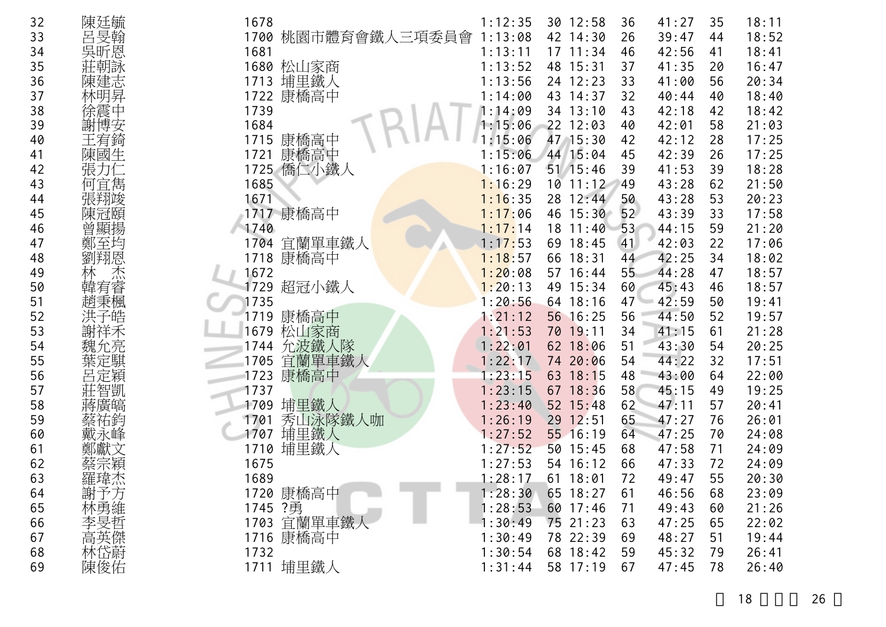| 32       | 陳廷毓           | 1678         |               | 1:12:35            | 30 12:58                 | 36       | 41:27          | 35       | 18:11          |
|----------|---------------|--------------|---------------|--------------------|--------------------------|----------|----------------|----------|----------------|
| 33       | 呂旻翰           | 1700         | 桃園市體育會鐵人三項委員會 | 1:13:08            | 42 14:30                 | 26       | 39:47          | 44       | 18:52          |
| 34       | 吳昕恩           | 1681         |               | 1:13:11            | $17$ $11:34$             | 46       | 42:56          | 41       | 18:41          |
| 35       | 莊朝詠           | 1680         | 松山家商          | 1:13:52            | 48 15:31                 | 37       | 41:35          | 20       | 16:47          |
| 36       | 陳建志           | 1713         | 埔里鐵人          | 1:13:56            | 24 12:23                 | 33       | 41:00          | 56       | 20:34          |
| 37       | 林明昇           | 1722         | 康橋高中          | 1:14:00            | 43 14:37                 | 32       | 40:44          | 40       | 18:40          |
| 38       | 徐震中           | 1739         |               | 1:14:09            | 34 13:10                 | 43       | 42:18          | 42       | 18:42          |
| 39       | 謝博安           | 1684         |               | 1:15:06            | 22 12:03                 | 40       | 42:01          | 58       | 21:03          |
| 40       | 王宥錡           | 1715         | 康橋高中          | 1:15:06            | 47 15:30                 | 42       | 42:12          | 28       | 17:25          |
| 41       | 陳國生           | 1721         | 康橋高中          | 1:15:06            | 44 15:04                 | 45       | 42:39          | 26       | 17:25          |
| 42       | 張力仁           | 1725         | 僑仁小鐵人         | 1:16:07            | 51 15:46<br>$10$ $11:12$ | 39       | 41:53          | 39       | 18:28          |
| 43       | 何宜雋<br>張翔竣    | 1685<br>1671 |               | 1:16:29<br>1:16:35 | 28 12:44                 | 49<br>50 | 43:28<br>43:28 | 62<br>53 | 21:50<br>20:23 |
| 44<br>45 | 陳冠頤           |              | 1717 康橋高中     | 1:17:06            | 46 15:30                 | 52       | 43:39          | 33       | 17:58          |
| 46       | 曾顯揚           | 1740         |               | 1:17:14            | 18 11:40                 | 53       | 44:15          | 59       | 21:20          |
| 47       | 鄭至均           | 1704         | 宜蘭單車鐵人        | 1:17:53            | 69 18:45                 | 41       | 42:03          | 22       | 17:06          |
| 48       | 劉翔恩           |              | 1718 康橋高中     | 1:18:57            | 66 18:31                 | 44       | 42:25          | 34       | 18:02          |
| 49       | 杰             | 1672         |               | 1:20:08            | 57 16:44                 | 55       | 44:28          | 47       | 18:57          |
| 50       | 韓宥睿           | 1729         | 超冠小鐵人         | 1:20:13            | 49 15:34                 | 60       | 45:43          | 46       | 18:57          |
| 51       | 趙秉楓           | 1735         |               | 1:20:56            | 64 18:16                 | 47       | 42:59          | 50       | 19:41          |
| 52       |               | 1719         | 康橋高中          | 1:21:12            | 56 16:25                 | 56       | 44:50          | 52       | 19:57          |
| 53       | 謝祥禾           | 1679         | 松山家商          | 1:21:53            | 70 19:11                 | 34       | 41:15          | 61       | 21:28          |
| 54       | 魏允亮           | 1744         | 允波鐵人隊         | 1:22:01            | 62 18:06                 | 51       | 43:30          | 54       | 20:25          |
| 55       |               | 1705         | 宜蘭單車鐵人        | 1:22:17            | 74 20:06                 | 54       | 44:22          | 32       | 17:51          |
| 56       | 呂定穎           | 1723         | 康橋高中          | 1:23:15            | 63 18:15                 | 48       | 43:00          | 64       | 22:00          |
| 57       | 莊智凱           | 1737         |               | 1:23:15            | 67 18:36                 | 58       | 45:15          | 49       | 19:25          |
| 58       | 蔣廣皜           | 1709         | 埔里鐵人          | 1:23:40            | 52 15:48                 | 62       | 47:11          | 57       | 20:41          |
| 59       | 蔡祐鈞           | 1701         | 秀山泳隊鐵人咖       | 1:26:19            | 29 12:51                 | 65       | 47:27          | 76       | 26:01          |
| 60       | 戴永峰           | 1707         | 埔里鐵人          | 1:27:52            | 55 16:19                 | 64       | 47:25          | 70       | 24:08          |
| 61       |               | 1710         | 埔里鐵人          | 1:27:52            | 50 15:45                 | 68       | 47:58          | 71       | 24:09          |
| 62       | 蔡宗穎           | 1675         |               | 1:27:53            | 54 16:12                 | 66       | 47:33          | 72       | 24:09          |
| 63       | 羅瑋杰<br>$+200$ | 1689         |               | 1:28:17            | 61 18:01                 | 72       | 49:47          | 55       | 20:30          |
| 64       | 謝予方           |              | 1720 康橋高中     | 1:28:30            | 65 18:27                 | 61       | 46:56          | 68       | 23:09          |
| 65       |               | 1745 ?勇      |               | 1:28:53            | 60 17:46                 | 71       | 49:43          | 60       | 21:26          |
| 66       | 林勇維<br>李旻哲    |              | 1703 宜蘭單車鐵    | 1:30:49            | 75 21:23                 | 63       | 47:25          | 65       | 22:02          |
| 67       |               | 1716         | 康橋高中          | 1:30:49            | 78 22:39                 | 69       | 48:27          | 51       | 19:44          |
| 68       | 高英傑蔚          | 1732         |               | 1:30:54            | 68 18:42                 | 59       | 45:32          | 79       | 26:41          |
| 69       | 陳俊佑           | 1711         | 埔里鐵人          | 1:31:44            | 58 17:19                 | 67       | 47:45          | 78       | 26:40          |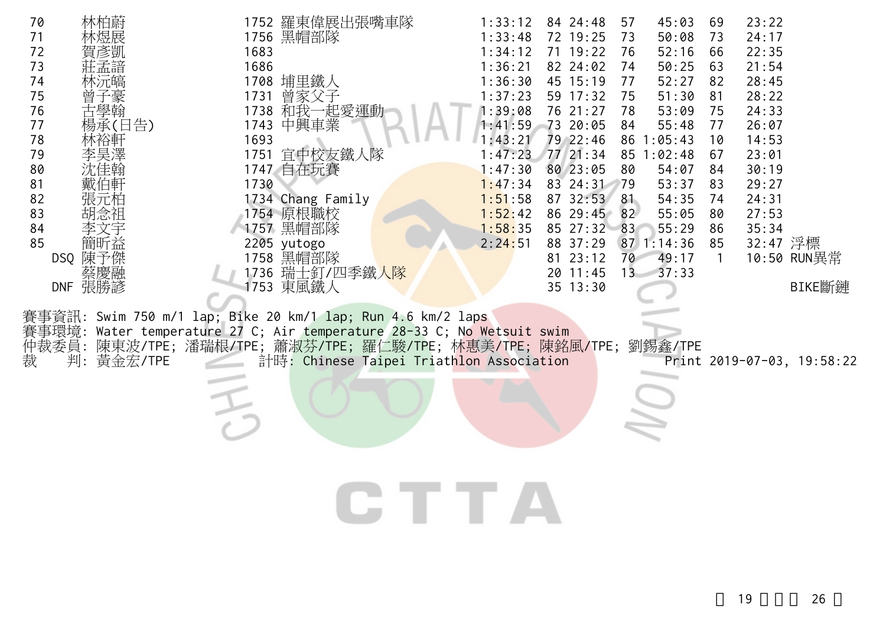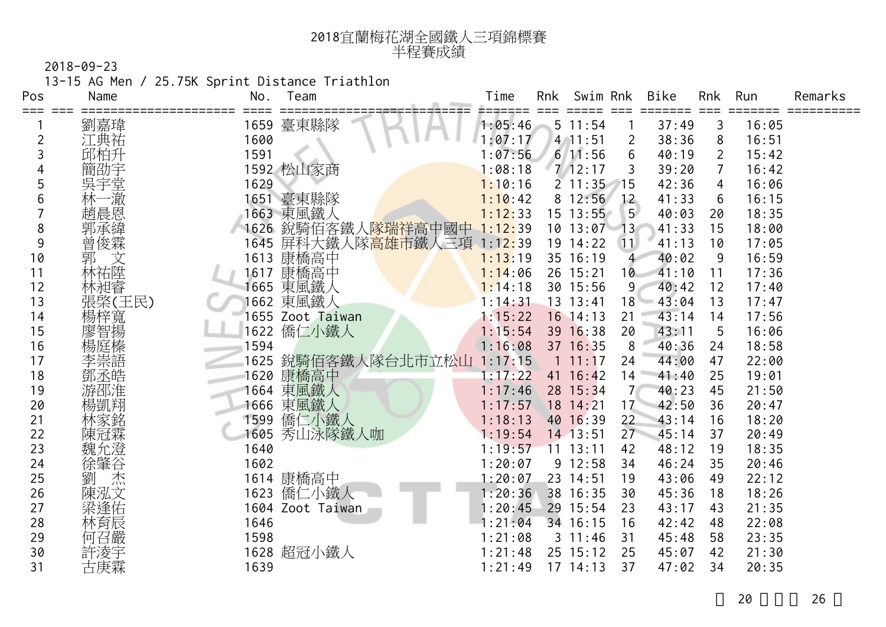| 2018宜蘭梅花湖全國鐵人三項錦標賽 |
|--------------------|
| 半程賽成績              |

13-15 AG Men / 25.75K Sprint Distance Triathlon

| Pos   | Name     | No.  | Team                        | Time    | Rnk | Swim Rnk     |                | Bike  | <b>Rnk</b>     | Run   | Remarks |
|-------|----------|------|-----------------------------|---------|-----|--------------|----------------|-------|----------------|-------|---------|
| $===$ | 劉嘉瑋      |      | 1659 臺東縣隊                   | 1:05:46 |     | 5 11:54      |                | 37:49 | 3              | 16:05 |         |
| 2     | 江典祐      | 1600 |                             | 1:07:17 |     | $4$ 11:51    | $\overline{2}$ | 38:36 | 8              | 16:51 |         |
| 3     | 邱柏升      | 1591 |                             | 1:07:56 |     | 611:56       | 6              | 40:19 | $\overline{2}$ | 15:42 |         |
|       |          |      | 1592 松山家商                   | 1:08:18 |     | 7/12:17      | 3              | 39:20 | 7              | 16:42 |         |
| 5     | 吳宇<br>堂  | 1629 |                             | 1:10:16 |     | $2 \t11:35$  | 15             | 42:36 | 4              | 16:06 |         |
| 6     | -澈<br>林一 |      | 1651 臺東縣隊                   | 1:10:42 |     | 8 12:56      | 12             | 41:33 | 6              | 16:15 |         |
|       | 趙晨恩      |      | 1663 東風鐵人                   | 1:12:33 |     | $15$ $13:55$ | 5 <sup>5</sup> | 40:03 | 20             | 18:35 |         |
| 8     | 郭承緯      | 1626 | 銳騎佰客鐵人 <mark>隊瑞祥高中國中</mark> | 1:12:39 |     | 10 13:07     | $-13$          | 41:33 | 15             | 18:00 |         |
| 9     | 曾俊霖      | 1645 | 屏科大鐵人隊高雄市鐵人三項               | 1:12:39 |     | 19 14:22     | 11             | 41:13 | 10             | 17:05 |         |
| 10    | 郭        | 1613 | 康橋高中                        | 1:13:19 |     | 35 16:19     | 4              | 40:02 | 9              | 16:59 |         |
| 11    | 林祐陞      | 1617 | 康橋高中                        | 1:14:06 |     | 26 15:21     | 10             | 41:10 | 11             | 17:36 |         |
| 12    | 林昶睿      | 1665 | 東風鐵人                        | 1:14:18 |     | 30 15:56     | 9              | 40:42 | 12             | 17:40 |         |
| 13    | 張棨(王民)   |      | 1662 東風鐵人                   | 1:14:31 |     | 13 13:41     | 18             | 43:04 | 13             | 17:47 |         |
| 14    | 楊梓寬      |      | 1655 Zoot Taiwan            | 1:15:22 |     | $16$ 14:13   | 21             | 43:14 | 14             | 17:56 |         |
| 15    | 廖智揚      | 1622 | 僑仁小鐵人                       | 1:15:54 |     | 39 16:38     | 20             | 43:11 | 5              | 16:06 |         |
| 16    | 楊庭榛      | 1594 |                             | 1:16:08 |     | 37 16:35     | 8              | 40:36 | 24             | 18:58 |         |
| 17    | 李崇語      |      | 1625 銳騎佰客鐵人隊台北市立松山          | 1:17:15 |     | $1 \t11:17$  | 24             | 44:00 | 47             | 22:00 |         |
| 18    | 鄧丞皓      | 1620 | 康橋高中                        | 1:17:22 |     | 41 $16:42$   | 14             | 41:40 | 25             | 19:01 |         |
| 19    | 游邵淮      | 1664 | 東風鐵人                        | 1:17:46 |     | 28 15:34     |                | 40:23 | 45             | 21:50 |         |
| 20    | 愓凱翔      | 1666 | 東風鐵人                        | 1:17:57 |     | 18 14:21     | 17             | 42:50 | 36             | 20:47 |         |
| 21    | 林家銘      | 1599 | 僑仁小鐵人                       | 1:18:13 |     | 40 16:39     | 22             | 43:14 | 16             | 18:20 |         |
| 22    | 陳冠霖      | 1605 | 秀山泳隊鐵人咖                     | 1:19:54 |     | 14 13:51     | 27             | 45:14 | 37             | 20:49 |         |
| 23    | 魏允澄      | 1640 |                             | 1:19:57 |     | $11$ $13:11$ | 42             | 48:12 | 19             | 18:35 |         |
| 24    | 徐肇谷      | 1602 |                             | 1:20:07 |     | 9 12:58      | 34             | 46:24 | 35             | 20:46 |         |
| 25    | 杰<br>劉   |      | 1614 康橋高中                   | 1:20:07 |     | 23 14:51     | 19             | 43:06 | 49             | 22:12 |         |
| 26    | 陳泓文      | 1623 | 僑仁小鐵人                       | 1:20:36 |     | 38 16:35     | 30             | 45:36 | 18             | 18:26 |         |
| 27    | 梁逢佑      | 1604 | Zoot Taiwan                 | 1:20:45 |     | 29 15:54     | 23             | 43:17 | 43             | 21:35 |         |
| 28    | 林育辰      | 1646 |                             | : 21:04 |     | 34 16:15     | 16             | 42:42 | 48             | 22:08 |         |
| 29    | 何召嚴      | 1598 |                             | 1:21:08 |     | $3 \t11:46$  | 31             | 45:48 | 58             | 23:35 |         |
| 30    | 許凌宇      |      | 1628 超冠小鐵人                  | 1:21:48 |     | 25 15:12     | 25             | 45:07 | 42             | 21:30 |         |
| 31    | 古庚霖      | 1639 |                             | 1:21:49 |     | $17 \t14:13$ | 37             | 47:02 | 34             | 20:35 |         |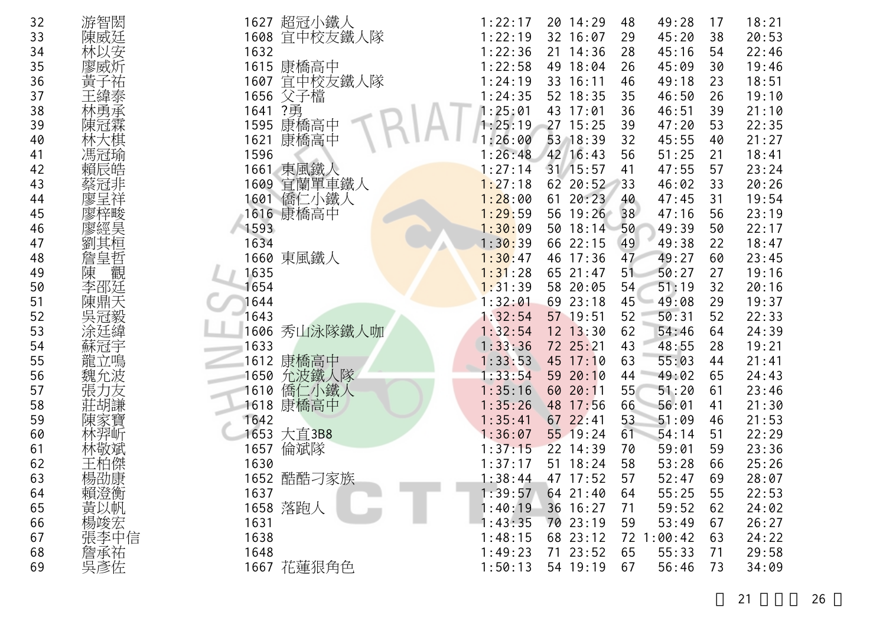| 32 | 游智閎    | 超冠小鐵人<br>1627   | 1:22:17 | 20 14:29     | 49:28<br>48              | 17 | 18:21 |
|----|--------|-----------------|---------|--------------|--------------------------|----|-------|
| 33 | 陳威廷    | 宜中校友鐵人隊<br>1608 | 1:22:19 | 32 16:07     | 45:20<br>29              | 38 | 20:53 |
| 34 | 林以安    | 1632            | 1:22:36 | 21 14:36     | 45:16<br>28              | 54 | 22:46 |
| 35 | 廖威炘    | 康橋高中<br>1615    | 1:22:58 | 49 18:04     | 26<br>45:09              | 30 | 19:46 |
| 36 | 黃子祐    | 宜中校友鐵人隊<br>1607 | 1:24:19 | 33 16:11     | 49:18<br>46              | 23 | 18:51 |
| 37 |        | 父子檔<br>1656     | 1:24:35 | 52 18:35     | 35<br>46:50              | 26 | 19:10 |
| 38 | 林勇承    | ?勇<br>1641      | 1:25:01 | 43 17:01     | 46:51<br>36              | 39 | 21:10 |
| 39 | 陳冠霖    | 康橋高中<br>1595    | 1:25:19 | 27 15:25     | 39<br>47:20              | 53 | 22:35 |
| 40 | 林大棋    | 康橋高中<br>1621    | 1:26:00 | 53 18:39     | 32<br>45:55              | 40 | 21:27 |
| 41 | 馮冠瑜    | 1596            | 1:26:48 | 42 16:43     | 51:25<br>56              | 21 | 18:41 |
| 42 | 賴辰皓    | 東風鐵人<br>1661    | 1:27:14 | 31 15:57     | 47:55<br>41              | 57 | 23:24 |
| 43 | 蔡冠非    | 1609<br>宜蘭單車鐵人  | 1:27:18 | 62 20:52     | 46:02<br>33              | 33 | 20:26 |
| 44 | 廖呈祥    | 1601 僑仁小鐵人      | 1:28:00 | 61 20:23     | 47:45<br>40              | 31 | 19:54 |
| 45 | 廖梓畯    | 1616 康橋高中       | 1:29:59 | 56 19:26     | 47:16<br>38              | 56 | 23:19 |
| 46 | 廖經昊    | 1593            | 1:30:09 | 50 18:14     | 49:39<br>50              | 50 | 22:17 |
| 47 | 劉其桓    | 1634            | 1:30:39 | 66 22:15     | 49:38<br>49              | 22 | 18:47 |
| 48 | 詹皇哲    | 1660 東風鐵人       | 1:30:47 | 46 17:36     | 49:27<br>47              | 60 | 23:45 |
| 49 | 觀<br>陳 | 1635            | 1:31:28 | 65 21:47     | 50:27<br>51              | 27 | 19:16 |
| 50 | 李邵廷    | 1654            | 1:31:39 | 58 20:05     | 51:19<br>54              | 32 | 20:16 |
| 51 | 陳鼎天    | 1644            | 1:32:01 | 69 23:18     | 45 <sup>1</sup><br>49:08 | 29 | 19:37 |
| 52 | 吳冠毅    | 1643            | 1:32:54 | 57 19:51     | 50:31<br>52              | 52 | 22:33 |
| 53 | 涂廷緯    | 秀山泳隊鐵人咖<br>1606 | 1:32:54 | $12$ $13:30$ | 62<br>54:46              | 64 | 24:39 |
| 54 | 蘇冠宇    | 1633            | 1:33:36 | 72 25:21     | 43<br>48:55              | 28 | 19:21 |
| 55 | 龍立鳴    | 1612 康橋高中       | 1:33:53 | 45 17:10     | 55:03<br>63              | 44 | 21:41 |
| 56 | 魏允波    | 1650 允波鐵人隊      | 1:33:54 | 59 20:10     | 44<br>49:02              | 65 | 24:43 |
| 57 | 張力友    | 僑仁小鐵人<br>1610   | 1:35:16 | 60 20:11     | 55<br>51:20              | 61 | 23:46 |
| 58 | 莊胡謙    | 康橋高中<br>1618    | 1:35:26 | 48 17:56     | 56:01<br>66              | 41 | 21:30 |
| 59 | 陳家寶    | 1642            | 1:35:41 | 67 22:41     | 51:09<br>53              | 46 | 21:53 |
| 60 | 林羿听    | 1653 大直3B8      | 1:36:07 | 55 19:24     | 61<br>54:14              | 51 | 22:29 |
| 61 | 林敬斌    | 倫斌隊<br>1657     | 1:37:15 | 22 14:39     | 59:01<br>70              | 59 | 23:36 |
| 62 | 王柏傑    | 1630            | 1:37:17 | 51 18:24     | 58<br>53:28              | 66 | 25:26 |
| 63 | 楊劭康    | 1652 酷酷刁家族      | 1:38:44 | 47 17:52     | 57<br>52:47              | 69 | 28:07 |
| 64 | 賴澄衡    | 1637            | 1:39:57 | 64 21:40     | 55:25<br>64              | 55 | 22:53 |
| 65 | 黃以帆    | 1658 落跑人        | 1:40:19 | 36 16:27     | 59:52<br>71              | 62 | 24:02 |
| 66 | 楊竣宏    | 1631            | 1:43:35 | 70 23:19     | 53:49<br>59              | 67 | 26:27 |
| 67 | 張李中信   | 1638            | 1:48:15 | 68 23:12     | 72 1:00:42               | 63 | 24:22 |
| 68 | 詹承祐    | 1648            | 1:49:23 | 71 23:52     | 65<br>55:33              | 71 | 29:58 |
| 69 | 吳彥佐    | 1667 花蓮狠角色      | 1:50:13 | 54 19:19     | 56:46<br>67              | 73 | 34:09 |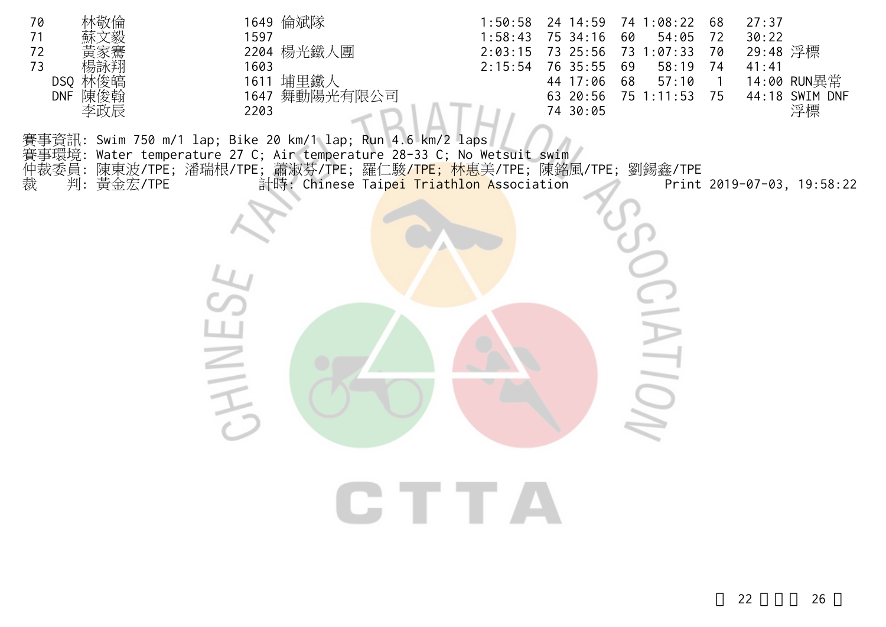| 林敬倫<br>70<br>71<br>72<br>73<br>楊詠翔<br>DSQ 林俊皜<br>DNF 陳俊翰<br>李政辰 | 1649 倫斌隊<br>1597<br>2204 楊光鐵人團<br>1603<br>1611 埔里鐵人<br>1647 舞動陽光有限公司<br>2203                                                                                                                                                                                              | 24 14:59<br>1:50:58<br>1:58:43<br>75 34:16<br>2:03:15<br>73 25:56<br>76 35:55<br>2:15:54<br>44 17:06<br>63 20:56<br>74 30:05 | 74 1:08:22<br>60<br>54:05<br>73 1:07:33<br>58:19<br>69<br>57:10<br>68<br>75 1:11:53 | 27:37<br>68<br>30:22<br>72<br>29:48 浮標<br>70<br>41:41<br>74<br>14:00 RUN異常<br>$\overline{\phantom{a}}$<br>44:18 SWIM DNF<br>75<br>浮標 |
|-----------------------------------------------------------------|---------------------------------------------------------------------------------------------------------------------------------------------------------------------------------------------------------------------------------------------------------------------------|------------------------------------------------------------------------------------------------------------------------------|-------------------------------------------------------------------------------------|--------------------------------------------------------------------------------------------------------------------------------------|
| 裁<br>判: 黃金宏/TPE                                                 | 賽事資訊: Swim 750 m/1 lap; Bike 20 km/1 lap; Run 4.6 km/2 laps<br>賽事環境: Water temperature 27 C; Air temperature 28-33 C; No Wetsuit swim /<br>仲裁委員: 陳東波/TPE; 潘瑞根/TPE; 蕭淑芬/TPE; 羅仁駿 <mark>/TPE; 林惠</mark> 美/TPE; 陳銘風/TPE; 劉錫鑫/TPE<br>計時: Chinese Taipei Triathlon Association |                                                                                                                              |                                                                                     | Print 2019-07-03, 19:58:22                                                                                                           |
|                                                                 |                                                                                                                                                                                                                                                                           |                                                                                                                              |                                                                                     |                                                                                                                                      |
|                                                                 | $\leq$                                                                                                                                                                                                                                                                    |                                                                                                                              | $\equiv$                                                                            |                                                                                                                                      |
|                                                                 |                                                                                                                                                                                                                                                                           |                                                                                                                              |                                                                                     |                                                                                                                                      |
|                                                                 |                                                                                                                                                                                                                                                                           | CTTA                                                                                                                         |                                                                                     |                                                                                                                                      |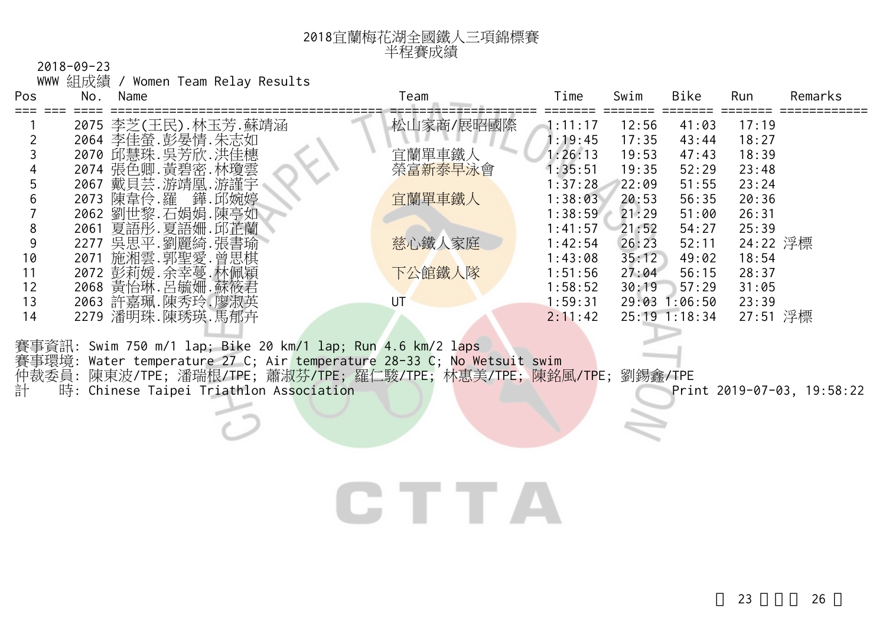| 2018宜蘭梅花湖全國鐵人三項錦標賽 |
|--------------------|
| 半程賽成績              |

WWW 組成績 / Women Team Relay Results

| <b>Pos</b> | No.  | Name                | Team      | Time    | Swim  | Bike            | Run      | Remarks |
|------------|------|---------------------|-----------|---------|-------|-----------------|----------|---------|
|            |      | 2075 李芝(王民).林玉芳.蘇靖涵 | 松山家商/展昭國際 | 1:11:17 | 12:56 | 41:03           | 17:19    |         |
|            |      | 2064 李佳螢.彭晏情.朱志如    |           | 1:19:45 | 17:35 | 43:44           | 18:27    |         |
|            |      | 2070 邱慧珠. 吳芳欣. 洪佳橞  | 宜蘭單車鐵人    | 1:26:13 | 19:53 | 47:43           | 18:39    |         |
|            |      | 2074 張色卿. 黃碧密. 林瓊雲  | 榮富新泰早泳會   | 1:35:51 | 19:35 | 52:29           | 23:48    |         |
|            | 2067 | 戴貝芸.游靖凰.游謹宇         |           | 1:37:28 | 22:09 | 51:55           | 23:24    |         |
| 6          | 2073 | 陳韋伶.羅<br>鏵.邱婉婷      | 宜蘭單車鐵人    | 1:38:03 | 20:53 | 56:35           | 20:36    |         |
|            | 2062 | 劉世黎.石娟娟.陳亭如         |           | 1:38:59 | 21:29 | 51:00           | 26:31    |         |
| 8          | 2061 | 夏語彤.夏語姍.邱芷蘭         |           | 1:41:57 | 21:52 | 54:27           | 25:39    |         |
| 9          | 2277 | 吳思平.劉麗綺.張書瑜         | 慈心鐵人家庭    | 1:42:54 | 26:23 | 52:11           | 24:22 浮標 |         |
| 10         | 2071 | 施湘雲.郭聖愛.曾思棋         |           | 1:43:08 | 35:12 | 49:02           | 18:54    |         |
| 11         |      | 2072 彭莉媛.余幸蔓.林佩穎    | 下公館鐵人隊    | 1:51:56 | 27:04 | 56:15           | 28:37    |         |
| 12         |      | 2068 黃怡琳. 呂毓姍. 蘇筱君  |           | 1:58:52 | 30:19 | 57:29           | 31:05    |         |
| 13         | 2063 | 許嘉珮.陳秀玲.廖淑英         | UT        | 1:59:31 | 29:03 | 1:06:50         | 23:39    |         |
| 14         | 2279 | 潘明珠.陳琇瑛.馬郁卉         |           | 2:11:42 |       | $25:19$ 1:18:34 | 27:51 浮標 |         |
|            |      |                     |           |         |       |                 |          |         |

賽事資訊: Swim 750 m/1 lap; Bike 20 km/1 lap; Run 4.6 km/2 laps 賽事環境: Water temperature 27 C; Air temperature 28-33 C; No Wetsuit swim 仲裁委員: 陳東波/TPE; 潘瑞根/TPE; 蕭淑芬/TPE; 羅仁駿/TPE; 林惠美/TPE; 陳銘風/TPE; 劉錫鑫/TPE 計 時: Chinese Taipei Triathlon Association entitled and the print 2019-07-03, 19:58:22

## CTTA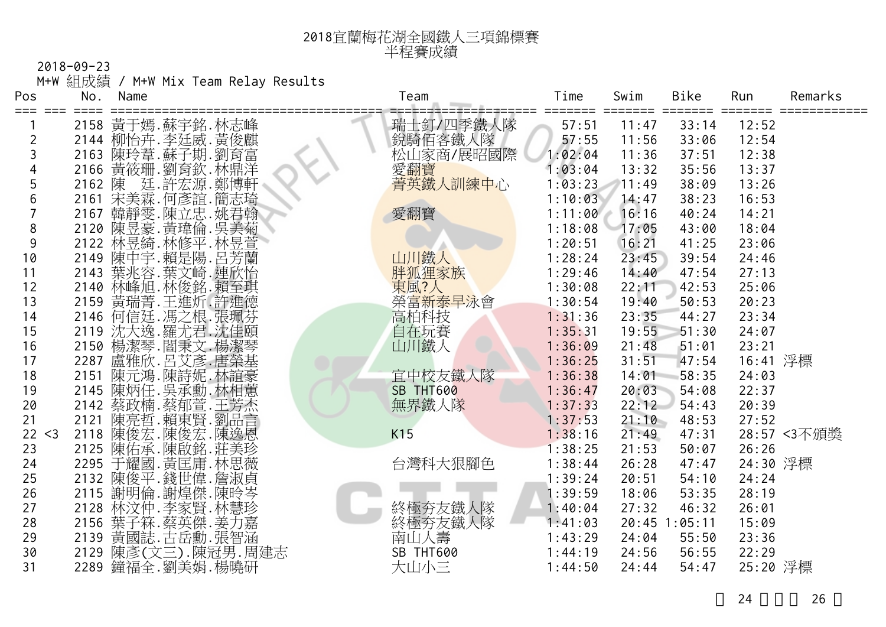| 2018宜蘭梅花湖全國鐵人三項錦標賽 |
|--------------------|
| 半程賽成績              |

2018-09-23 M+W 組成績 / M+W Mix Team Relay Results

| Pos            | No.  | Name |                                                                            | Team                              | Time               | Swim           | Bike           | Run            | Remarks     |
|----------------|------|------|----------------------------------------------------------------------------|-----------------------------------|--------------------|----------------|----------------|----------------|-------------|
| ===<br>≔≕      |      |      |                                                                            |                                   | ====               |                | =====          |                |             |
|                |      |      | 2158 黃于嫣.蘇宇銘.林志峰                                                           | 瑞士釘/四季鐵人隊<br>銳騎佰客鐵人隊<br>松山家商/展昭國際 | 57:51              | 11:47          | 33:14          | 12:52          |             |
| $\overline{2}$ |      |      | 2144 柳怡卉.李廷威.黃俊麒                                                           |                                   | 57:55              | 11:56          | 33:06          | 12:54          |             |
| 3              |      |      |                                                                            |                                   | 1:02:04            | 11:36          | 37:51          | 12:38          |             |
|                |      |      | 2166 黃筱珊.劉育欽.林鼎洋                                                           | 愛翻寶                               | 1:03:04            | 13:32          | 35:56          | 13:37          |             |
| 5              |      |      | 1:02 陳廷.許宏誼.蘭志翰<br>2161 宋美霖.何彥誼.簡志翰<br>2167 韓靜雯.陳立忠.姚君菊<br>2120 陳昱豪.黃瑋倫.吳美 | 菁英鐵人訓練中心                          | 1:03:23            | 11:49          | 38:09          | 13:26          |             |
| 6              |      |      |                                                                            |                                   | 1:10:03            | 14:47          | 38:23          | 16:53          |             |
| $\overline{7}$ |      |      |                                                                            | 愛翻寶                               | 1:11:00            | 16:16          | 40:24          | 14:21          |             |
| 8              |      |      |                                                                            |                                   | 1:18:08            | 17:05          | 43:00          | 18:04          |             |
| 9              |      |      | 2122 林昱綺. 林修平. 林昱萱<br>2149 陳中宇. 賴是陽. 呂芳蘭                                   |                                   | 1:20:51            | 16:21          | 41:25          | 23:06          |             |
| 10             |      |      |                                                                            | 山川鐵人                              | 1:28:24            | 23:45          | 39:54          | 24:46          |             |
| 11             |      |      | 2143 葉兆容.葉文崎.連欣怡                                                           | 胖狐狸家族                             | 1:29:46            | 14:40          | 47:54          | 27:13          |             |
| 12             |      |      | 2140 林峰旭. 林俊銘. 賴至琪                                                         | 東風?人                              | 1:30:08            | 22:11          | 42:53          | 25:06          |             |
| 13             |      |      | 2159 黃瑞菁.王進炘.許進德                                                           | 榮富新泰早泳會                           | 1:30:54            | 19:40          | 50:53          | 20:23          |             |
| 14             |      |      | 2146 何信廷. 馮之根. 張珮芬<br>2119 沈大逸. 羅尤君. 沈佳頤                                   | 高柏科技                              | 1:31:36            | 23:35          | 44:27          | 23:34          |             |
| 15             |      |      |                                                                            | 自在玩賽                              | 1:35:31            | 19:55          | 51:30          | 24:07          |             |
| 16             |      |      | 2150 楊潔琴.閻秉文.楊潔琴                                                           | 山川鐵人                              | 1:36:09            | 21:48          | 51:01          | 23:21          |             |
| 17             |      |      | 2287 盧雅欣.呂艾彥.唐榮基<br>2151 陳元鴻.陳詩妮.林誼豪                                       |                                   | 1:36:25            | 31:51          | 47:54          | 16:41 浮標       |             |
| 18             |      |      |                                                                            | 宜中校友鐵人隊                           | 1:36:38            | 14:01          | 58:35          | 24:03          |             |
| 19             |      |      | 2145 陳炳任.吳承勳.林相蕙<br>2142 蔡政楠.蔡郁萱.王芳杰<br>2121 陳亮哲.賴東賢.劉品言                   | SB THT600                         | 1:36:47            | 20:03          | 54:08          | 22:37          |             |
| 20<br>21       |      |      |                                                                            | 無界鐵人隊                             | 1:37:33<br>1:37:53 | 22:12<br>21:10 | 54:43          | 20:39<br>27:52 |             |
| 22 < 3         |      |      |                                                                            | K15                               |                    |                | 48:53          |                |             |
| 23             |      |      | 2118 陳俊宏.陳俊宏.陳逸恩<br>2125 陳佑承.陳啟銘.莊美珍                                       |                                   | 1:38:16<br>1:38:25 | 21:49<br>21:53 | 47:31<br>50:07 | 26:26          | 28:57 <3不頒獎 |
| 24             |      |      | 2295 于耀國. 黃匡庸. 林思薇                                                         | 台灣科大狠腳色                           | 1:38:44            | 26:28          | 47:47          | 24:30 浮標       |             |
| 25             |      |      |                                                                            |                                   | 1:39:24            | 20:51          | 54:10          | 24:24          |             |
| 26             |      |      | 2132 陳俊平.錢世偉.詹淑貞<br>2115 謝明倫.謝煌傑.陳昤岑                                       |                                   | 1:39:59            | 18:06          | 53:35          | 28:19          |             |
| 27             |      |      |                                                                            | 終極夯友鐵人隊                           | 1:40:04            | 27:32          | 46:32          | 26:01          |             |
| 28             |      |      | 2128 林汶仲.李家賢.林慧珍<br>2156 葉子箖.蔡英傑.姜力嘉                                       | 終極夯友鐵人隊                           | 1:41:03            |                | 20:45 1:05:11  | 15:09          |             |
| 29             | 2139 |      |                                                                            | 南山人壽                              | 1:43:29            | 24:04          | 55:50          | 23:36          |             |
| 30             | 2129 |      | 黃國誌.古岳勳.張智涵<br>陳彥(文三).陳冠男.周建志                                              | SB THT600                         | 1:44:19            | 24:56          | 56:55          | 22:29          |             |
| 31             |      |      | 2289 鐘福全.劉美娟.楊曉研                                                           | 大山小三                              | 1:44:50            | 24:44          | 54:47          | 25:20 浮標       |             |
|                |      |      |                                                                            |                                   |                    |                |                |                |             |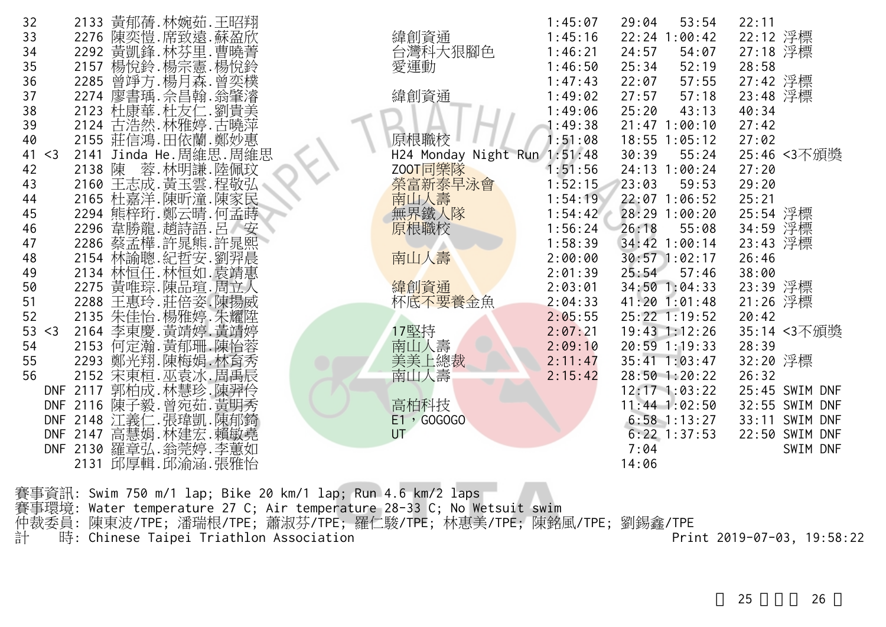| 32          | 黃郁蒨.林婉茹.王昭翔<br>2133                                        |                              | 1:45:07 | 29:04<br>53:54        | 22:11             |
|-------------|------------------------------------------------------------|------------------------------|---------|-----------------------|-------------------|
| 33          | 陳奕愷.席致遠.蘇盈欣<br>2276                                        | 緯創資通                         | 1:45:16 | 22:24<br>:00:42<br>-1 | 22:12 浮標          |
| 34          |                                                            | 台灣科大狠腳色                      | 1:46:21 | 24:57<br>54:07        | 27:18 浮標          |
| 35          | 2292 黃凱鋒 林芬里.曹曉菁<br>2157 楊悅鈴.楊宗憲.楊悅鈴                       | 愛運動                          | 1:46:50 | 25:34<br>52:19        | 28:58             |
| 36          |                                                            |                              | 1:47:43 | 22:07<br>57:55        | 27:42 浮標          |
| 37          |                                                            | 緯創資通                         | 1:49:02 | 27:57<br>57:18        | 23:48 浮標          |
| 38          | - 2285 曾竫方.楊月森.曾奕樸<br>2274 廖書瑀.佘昌翰.翁肇濬<br>2123 杜康華.杜友仁.劉貴美 |                              | 1:49:06 | 25:20<br>43:13        | 40:34             |
|             |                                                            |                              |         |                       |                   |
| 39          | 古浩然. 林雅婷. 古曉萍<br>2124                                      |                              | 1:49:38 | $21:47$ $1:00:10$     | 27:42             |
| 40          | 2155 莊信鴻.田依蘭.鄭妙惠                                           | 原根職校                         | : 51:08 | $18:55$ $1:05:12$     | 27:02             |
| 41<br>$<$ 3 | 2141 Jinda He. 周維思. 周維思                                    | H24 Monday Night Run 1:51:48 |         | 30:39<br>55:24        | 25:46 <3不頒獎       |
| 42          | 蓉.林明謙.陸佩玟<br>2138 陳                                        | Z00T同樂隊                      | 1:51:56 | 24:13 1:00:24         | 27:20             |
| 43          |                                                            | 榮富新泰早泳會                      | 1:52:15 | 23:03<br>59:53        | 29:20             |
| 44          | 2160 王志成. 黃玉雲. 程敬弘<br>2165 杜嘉洋. 陳昕潼. 陳家民                   | 南山人壽                         | 1:54:19 | 22:07 1:06:52         | 25:21             |
| 45          | 2294 熊梓珩.鄭云晴.何孟蒔                                           | 無界鐵人隊                        | 1:54:42 | 28:29 1:00:20         | 25:54 浮標          |
| 46          | 2296 韋勝龍.趙詩語.呂<br>安                                        | 原根職校                         | 1:56:24 | 26:18<br>55:08        | 浮標<br>34:59       |
| 47          | 2286 蔡孟樺.許晁熊.許晁熙                                           |                              | 1:58:39 | 34:42 1:00:14         | 23:43 浮標          |
| 48          | 林諭聰.紀哲安.劉羿晨<br>2154                                        | 南山人壽                         | 2:00:00 | 30:57 1:02:17         | 26:46             |
| 49          | 2134 林恒任.林恒如.袁靖惠                                           |                              | 2:01:39 | 25:54<br>57:46        | 38:00             |
| 50          | 2275                                                       | 緯創資通                         | 2:03:01 | 34:50 1:04:33         | 23:39 浮標          |
| 51          | 黃唯琮.陳品瑄.周立人<br>王惠玲.莊倍姿.陳揚威<br>2288                         | 杯底不要養金魚                      | 2:04:33 | $41:20$ $1:01:48$     | 21:26 浮標          |
| 52          | 2135 朱佳怡. 楊雅婷. 朱耀陞                                         |                              | 2:05:55 | 25:22 1:19:52         | 20:42             |
| 53<br>$<$ 3 |                                                            | 17堅持                         | 2:07:21 | 19:43 1:12:26         | 35:14 <3不頒獎       |
| 54          | 2164 李東慶. 黃靖婷. 黃靖婷<br>2153 何定瀚. 黃郁珊. 陳怡蓉                   | 南山人壽                         | 2:09:10 | 20:59 1:19:33         | 28:39             |
| 55          | 2293                                                       | 美美上總裁                        | 2:11:47 | $35:41$ $1:03:47$     | 32:20 浮標          |
|             | 鄭光翔.陳梅娟.林育秀                                                |                              |         |                       |                   |
| 56          | 2152 宋東桓. 巫袁冰. 周禹辰                                         | 南山人壽                         | 2:15:42 | 28:50 1:20:22         | 26:32             |
|             | 郭柏成.林慧珍.陳羿伶<br>DNF 2117                                    |                              |         | $12:17$ $1:03:22$     | 25:45 SWIM DNF    |
| <b>DNF</b>  | 陳子毅.曾宛茹.黃明秀<br>2116                                        | 高柏科技                         |         | $11:44$ 1:02:50       | 32:55 SWIM DNF    |
|             | DNF 2148 江義仁.張瑋凱.陳郁錡                                       | E1, GOGOGO                   |         | $6:58$ 1:13:27        | 33:11<br>SWIM DNF |
|             | 高慧娟.林建宏.賴敏堯<br>DNF 2147                                    | UT                           |         | $6:22$ 1:37:53        | 22:50 SWIM DNF    |
|             | 羅章弘.翁莞婷.李蕙如<br>DNF 2130                                    |                              |         | 7:04                  | SWIM DNF          |
|             | 2131 邱厚輯. 邱渝涵. 張雅怡                                         |                              |         | 14:06                 |                   |

賽事資訊: Swim 750 m/1 lap; Bike 20 km/1 lap; Run 4.6 km/2 laps 賽事環境: Water temperature 27 C; Air temperature 28-33 C; No Wetsuit swim 仲裁委員: 陳東波/TPE; 潘瑞根/TPE; 蕭淑芬/TPE; 羅仁駿/TPE; 林惠美/TPE; 陳銘風/TPE; 劉錫鑫/TPE 計 時: Chinese Taipei Triathlon Association Print 2019-07-03, 19:58:22